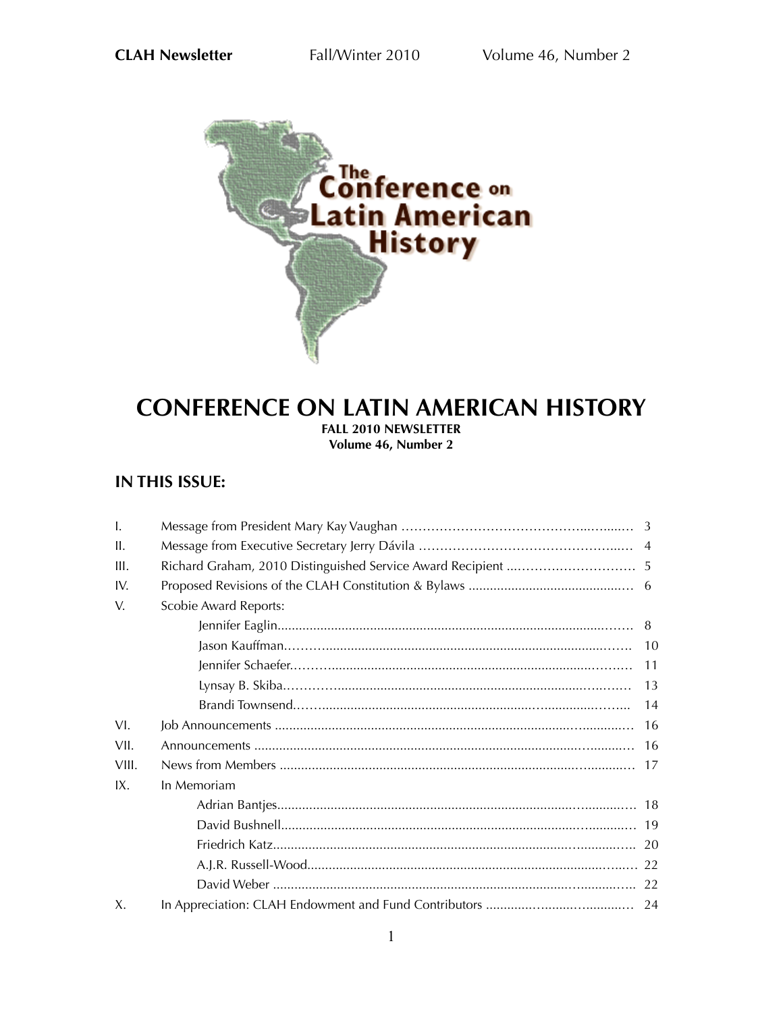

# **CONFERENCE ON LATIN AMERICAN HISTORY FALL 2010 NEWSLETTER Volume 46, Number 2**

# **IN THIS ISSUE:**

| $\mathbf{I}$ . |                              |     |
|----------------|------------------------------|-----|
| II.            |                              |     |
| III.           |                              |     |
| IV             |                              |     |
| V.             | <b>Scobie Award Reports:</b> |     |
|                |                              |     |
|                |                              | 10  |
|                |                              | -11 |
|                |                              | 13  |
|                |                              | 14  |
| VI.            |                              | 16  |
| VII.           |                              | -16 |
| VIII.          |                              |     |
| IX.            | In Memoriam                  |     |
|                |                              |     |
|                |                              |     |
|                |                              |     |
|                |                              |     |
|                |                              |     |
| Χ.             |                              |     |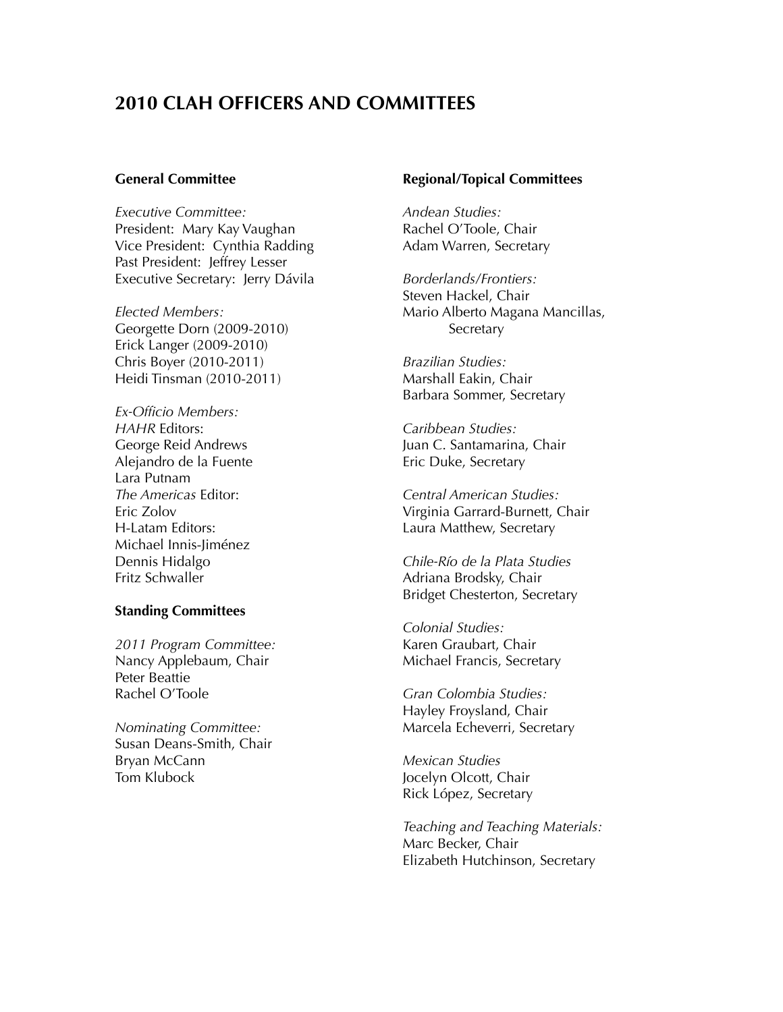# **2010 CLAH OFFICERS AND COMMITTEES**

## **General Committee**

*Executive Committee:* President: Mary Kay Vaughan Vice President: Cynthia Radding Past President: Jeffrey Lesser Executive Secretary: Jerry Dávila

*Elected Members:* Georgette Dorn (2009-2010) Erick Langer (2009-2010) Chris Boyer (2010-2011) Heidi Tinsman (2010-2011)

*Ex-Officio Members: HAHR* Editors: George Reid Andrews Alejandro de la Fuente Lara Putnam *The Americas* Editor: Eric Zolov H-Latam Editors: Michael Innis-Jiménez Dennis Hidalgo Fritz Schwaller

## **Standing Committees**

*2011 Program Committee:* Nancy Applebaum, Chair Peter Beattie Rachel O'Toole

*Nominating Committee:* Susan Deans-Smith, Chair Bryan McCann Tom Klubock

## **Regional/Topical Committees**

*Andean Studies:* Rachel O'Toole, Chair Adam Warren, Secretary

*Borderlands/Frontiers:* Steven Hackel, Chair Mario Alberto Magana Mancillas, **Secretary** 

*Brazilian Studies:* Marshall Eakin, Chair Barbara Sommer, Secretary

*Caribbean Studies:* Juan C. Santamarina, Chair Eric Duke, Secretary

*Central American Studies:* Virginia Garrard-Burnett, Chair Laura Matthew, Secretary

*Chile-Río de la Plata Studies* Adriana Brodsky, Chair Bridget Chesterton, Secretary

*Colonial Studies:* Karen Graubart, Chair Michael Francis, Secretary

*Gran Colombia Studies:* Hayley Froysland, Chair Marcela Echeverri, Secretary

*Mexican Studies* Jocelyn Olcott, Chair Rick López, Secretary

*Teaching and Teaching Materials:* Marc Becker, Chair Elizabeth Hutchinson, Secretary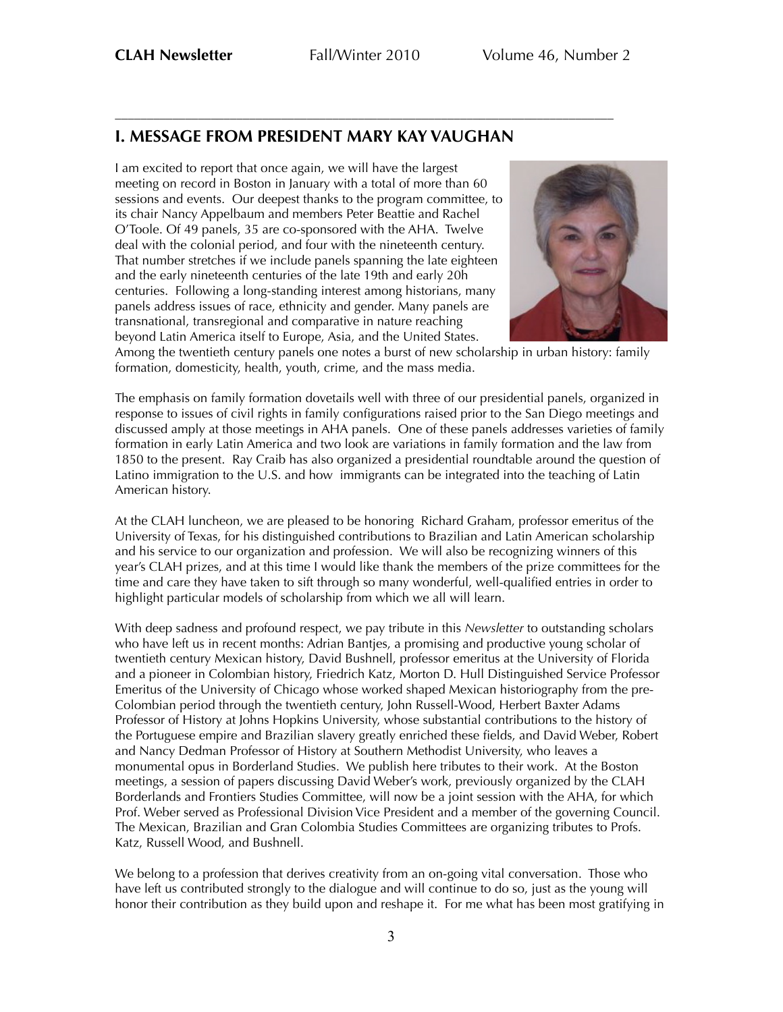––––––––––––––––––––––––––––––––––––––––––––––––––––––––––––––––––––––––––––––

# **I. MESSAGE FROM PRESIDENT MARY KAY VAUGHAN**

I am excited to report that once again, we will have the largest meeting on record in Boston in January with a total of more than 60 sessions and events. Our deepest thanks to the program committee, to its chair Nancy Appelbaum and members Peter Beattie and Rachel O'Toole. Of 49 panels, 35 are co-sponsored with the AHA. Twelve deal with the colonial period, and four with the nineteenth century. That number stretches if we include panels spanning the late eighteen and the early nineteenth centuries of the late 19th and early 20h centuries. Following a long-standing interest among historians, many panels address issues of race, ethnicity and gender. Many panels are transnational, transregional and comparative in nature reaching beyond Latin America itself to Europe, Asia, and the United States.



Among the twentieth century panels one notes a burst of new scholarship in urban history: family formation, domesticity, health, youth, crime, and the mass media.

The emphasis on family formation dovetails well with three of our presidential panels, organized in response to issues of civil rights in family configurations raised prior to the San Diego meetings and discussed amply at those meetings in AHA panels. One of these panels addresses varieties of family formation in early Latin America and two look are variations in family formation and the law from 1850 to the present. Ray Craib has also organized a presidential roundtable around the question of Latino immigration to the U.S. and how immigrants can be integrated into the teaching of Latin American history.

At the CLAH luncheon, we are pleased to be honoring Richard Graham, professor emeritus of the University of Texas, for his distinguished contributions to Brazilian and Latin American scholarship and his service to our organization and profession. We will also be recognizing winners of this year's CLAH prizes, and at this time I would like thank the members of the prize committees for the time and care they have taken to sift through so many wonderful, well-qualified entries in order to highlight particular models of scholarship from which we all will learn.

With deep sadness and profound respect, we pay tribute in this *Newsletter* to outstanding scholars who have left us in recent months: Adrian Bantjes, a promising and productive young scholar of twentieth century Mexican history, David Bushnell, professor emeritus at the University of Florida and a pioneer in Colombian history, Friedrich Katz, Morton D. Hull Distinguished Service Professor Emeritus of the University of Chicago whose worked shaped Mexican historiography from the pre-Colombian period through the twentieth century, John Russell-Wood, Herbert Baxter Adams Professor of History at Johns Hopkins University, whose substantial contributions to the history of the Portuguese empire and Brazilian slavery greatly enriched these fields, and David Weber, Robert and Nancy Dedman Professor of History at Southern Methodist University, who leaves a monumental opus in Borderland Studies. We publish here tributes to their work. At the Boston meetings, a session of papers discussing David Weber's work, previously organized by the CLAH Borderlands and Frontiers Studies Committee, will now be a joint session with the AHA, for which Prof. Weber served as Professional Division Vice President and a member of the governing Council. The Mexican, Brazilian and Gran Colombia Studies Committees are organizing tributes to Profs. Katz, Russell Wood, and Bushnell.

We belong to a profession that derives creativity from an on-going vital conversation. Those who have left us contributed strongly to the dialogue and will continue to do so, just as the young will honor their contribution as they build upon and reshape it. For me what has been most gratifying in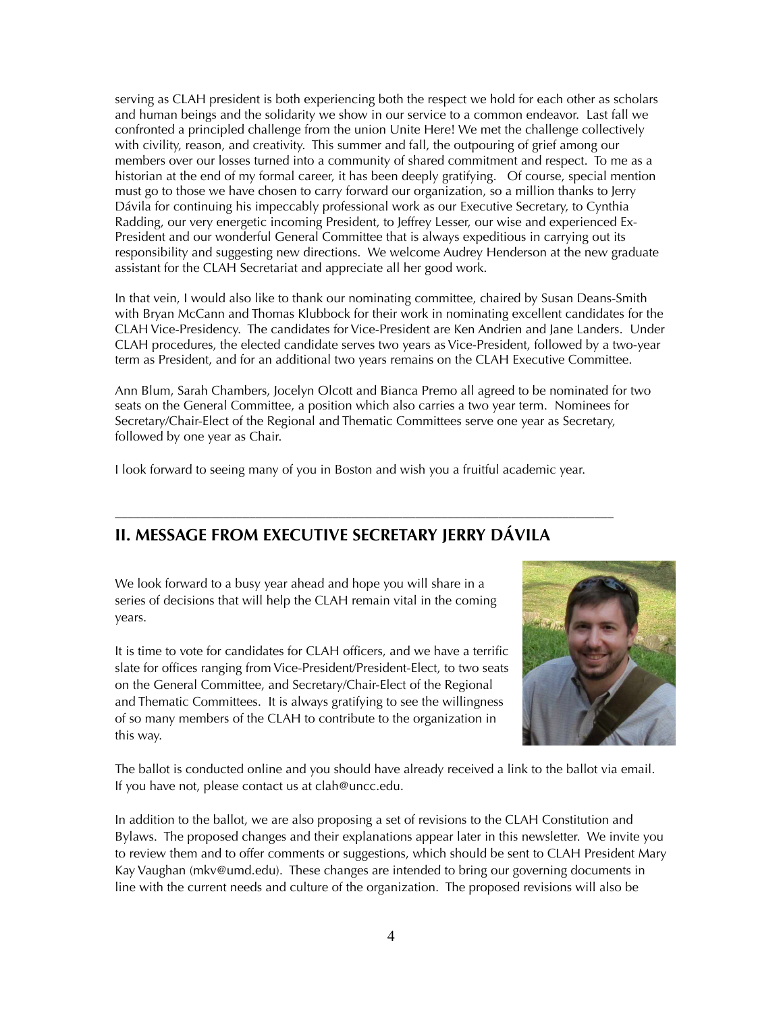serving as CLAH president is both experiencing both the respect we hold for each other as scholars and human beings and the solidarity we show in our service to a common endeavor. Last fall we confronted a principled challenge from the union Unite Here! We met the challenge collectively with civility, reason, and creativity. This summer and fall, the outpouring of grief among our members over our losses turned into a community of shared commitment and respect. To me as a historian at the end of my formal career, it has been deeply gratifying. Of course, special mention must go to those we have chosen to carry forward our organization, so a million thanks to Jerry Dávila for continuing his impeccably professional work as our Executive Secretary, to Cynthia Radding, our very energetic incoming President, to Jeffrey Lesser, our wise and experienced Ex-President and our wonderful General Committee that is always expeditious in carrying out its responsibility and suggesting new directions. We welcome Audrey Henderson at the new graduate assistant for the CLAH Secretariat and appreciate all her good work.

In that vein, I would also like to thank our nominating committee, chaired by Susan Deans-Smith with Bryan McCann and Thomas Klubbock for their work in nominating excellent candidates for the CLAH Vice-Presidency. The candidates for Vice-President are Ken Andrien and Jane Landers. Under CLAH procedures, the elected candidate serves two years as Vice-President, followed by a two-year term as President, and for an additional two years remains on the CLAH Executive Committee.

Ann Blum, Sarah Chambers, Jocelyn Olcott and Bianca Premo all agreed to be nominated for two seats on the General Committee, a position which also carries a two year term. Nominees for Secretary/Chair-Elect of the Regional and Thematic Committees serve one year as Secretary, followed by one year as Chair.

I look forward to seeing many of you in Boston and wish you a fruitful academic year.

––––––––––––––––––––––––––––––––––––––––––––––––––––––––––––––––––––––––––––––

# **II. MESSAGE FROM EXECUTIVE SECRETARY JERRY DÁVILA**

We look forward to a busy year ahead and hope you will share in a series of decisions that will help the CLAH remain vital in the coming years.

It is time to vote for candidates for CLAH officers, and we have a terrific slate for offices ranging from Vice-President/President-Elect, to two seats on the General Committee, and Secretary/Chair-Elect of the Regional and Thematic Committees. It is always gratifying to see the willingness of so many members of the CLAH to contribute to the organization in this way.



The ballot is conducted online and you should have already received a link to the ballot via email. If you have not, please contact us at clah@uncc.edu.

In addition to the ballot, we are also proposing a set of revisions to the CLAH Constitution and Bylaws. The proposed changes and their explanations appear later in this newsletter. We invite you to review them and to offer comments or suggestions, which should be sent to CLAH President Mary Kay Vaughan (mkv@umd.edu). These changes are intended to bring our governing documents in line with the current needs and culture of the organization. The proposed revisions will also be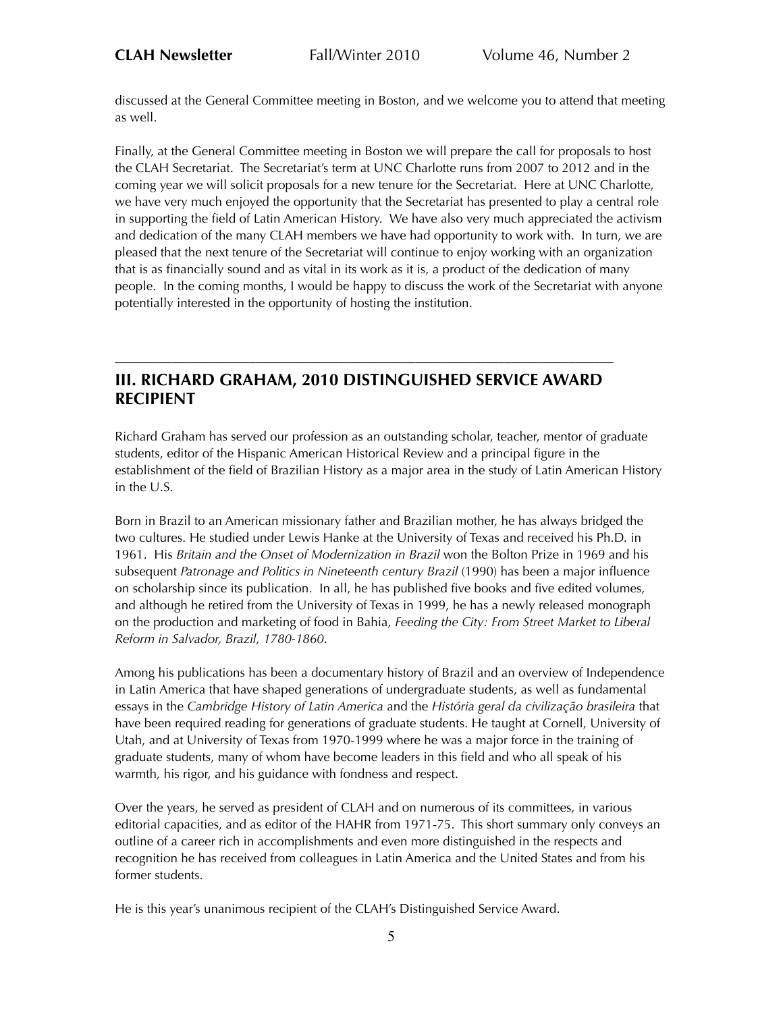discussed at the General Committee meeting in Boston, and we welcome you to attend that meeting as well.

Finally, at the General Committee meeting in Boston we will prepare the call for proposals to host the CLAH Secretariat. The Secretariat's term at UNC Charlotte runs from 2007 to 2012 and in the coming year we will solicit proposals for a new tenure for the Secretariat. Here at UNC Charlotte, we have very much enjoyed the opportunity that the Secretariat has presented to play a central role in supporting the field of Latin American History. We have also very much appreciated the activism and dedication of the many CLAH members we have had opportunity to work with. In turn, we are pleased that the next tenure of the Secretariat will continue to enjoy working with an organization that is as financially sound and as vital in its work as it is, a product of the dedication of many people. In the coming months, I would be happy to discuss the work of the Secretariat with anyone potentially interested in the opportunity of hosting the institution.

# **III. RICHARD GRAHAM, 2010 DISTINGUISHED SERVICE AWARD RECIPIENT**

––––––––––––––––––––––––––––––––––––––––––––––––––––––––––––––––––––––––––––––

Richard Graham has served our profession as an outstanding scholar, teacher, mentor of graduate students, editor of the Hispanic American Historical Review and a principal figure in the establishment of the field of Brazilian History as a major area in the study of Latin American History in the U.S.

Born in Brazil to an American missionary father and Brazilian mother, he has always bridged the two cultures. He studied under Lewis Hanke at the University of Texas and received his Ph.D. in 1961. His *Britain and the Onset of Modernization in Brazil* won the Bolton Prize in 1969 and his subsequent *Patronage and Politics in Nineteenth century Brazil* (1990) has been a major influence on scholarship since its publication. In all, he has published five books and five edited volumes, and although he retired from the University of Texas in 1999, he has a newly released monograph on the production and marketing of food in Bahia, *Feeding the City: From Street Market to Liberal Reform in Salvador, Brazil, 1780-1860*.

Among his publications has been a documentary history of Brazil and an overview of Independence in Latin America that have shaped generations of undergraduate students, as well as fundamental essays in the *Cambridge History of Latin America* and the *História geral da civilização brasileira* that have been required reading for generations of graduate students. He taught at Cornell, University of Utah, and at University of Texas from 1970-1999 where he was a major force in the training of graduate students, many of whom have become leaders in this field and who all speak of his warmth, his rigor, and his guidance with fondness and respect.

Over the years, he served as president of CLAH and on numerous of its committees, in various editorial capacities, and as editor of the HAHR from 1971-75. This short summary only conveys an outline of a career rich in accomplishments and even more distinguished in the respects and recognition he has received from colleagues in Latin America and the United States and from his former students.

He is this year's unanimous recipient of the CLAH's Distinguished Service Award.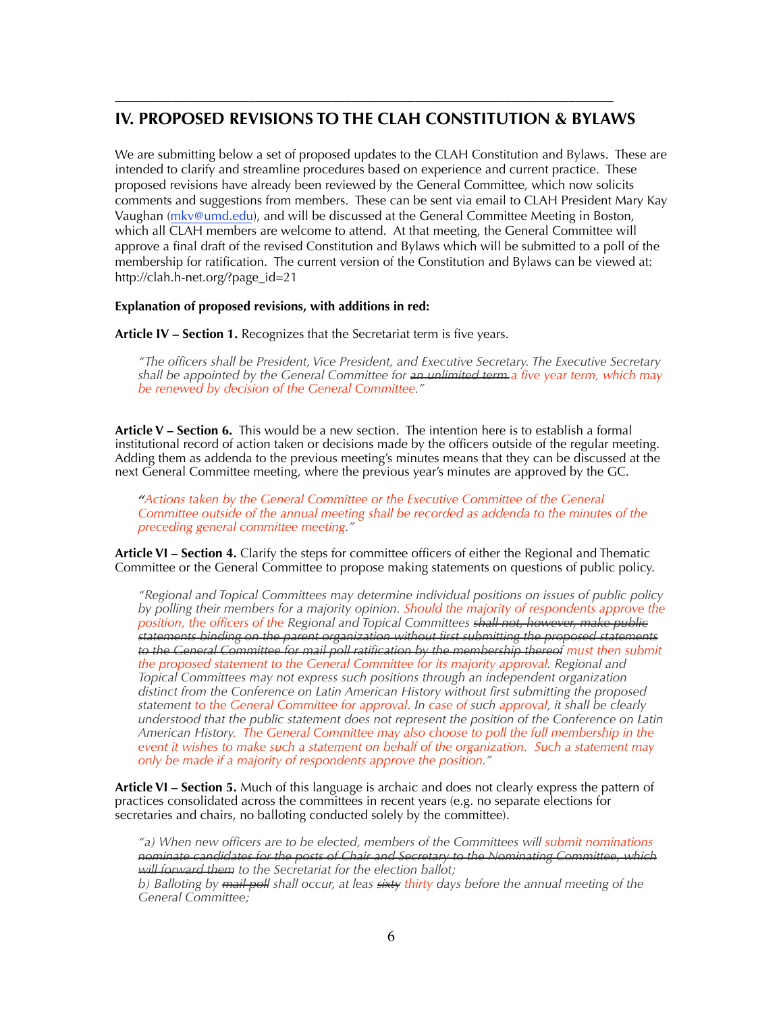# **IV. PROPOSED REVISIONS TO THE CLAH CONSTITUTION & BYLAWS**

––––––––––––––––––––––––––––––––––––––––––––––––––––––––––––––––––––––––––––––

We are submitting below a set of proposed updates to the CLAH Constitution and Bylaws. These are intended to clarify and streamline procedures based on experience and current practice. These proposed revisions have already been reviewed by the General Committee, which now solicits comments and suggestions from members. These can be sent via email to CLAH President Mary Kay Vaughan [\(mkv@umd.edu](mailto:mkv@umd.edu)), and will be discussed at the General Committee Meeting in Boston, which all CLAH members are welcome to attend. At that meeting, the General Committee will approve a final draft of the revised Constitution and Bylaws which will be submitted to a poll of the membership for ratification. The current version of the Constitution and Bylaws can be viewed at: http://clah.h-net.org/?page\_id=21

## **Explanation of proposed revisions, with additions in red:**

**Article IV – Section 1.** Recognizes that the Secretariat term is five years.

*"The officers shall be President, Vice President, and Executive Secretary. The Executive Secretary shall be appointed by the General Committee for an unlimited term a five year term, which may be renewed by decision of the General Committee."*

**Article V – Section 6.** This would be a new section. The intention here is to establish a formal institutional record of action taken or decisions made by the officers outside of the regular meeting. Adding them as addenda to the previous meeting's minutes means that they can be discussed at the next General Committee meeting, where the previous year's minutes are approved by the GC.

*"Actions taken by the General Committee or the Executive Committee of the General Committee outside of the annual meeting shall be recorded as addenda to the minutes of the preceding general committee meeting."*

**Article VI – Section 4.** Clarify the steps for committee officers of either the Regional and Thematic Committee or the General Committee to propose making statements on questions of public policy.

*"Regional and Topical Committees may determine individual positions on issues of public policy by polling their members for a majority opinion. Should the majority of respondents approve the position, the officers of the Regional and Topical Committees shall not, however, make public statements binding on the parent organization without first submitting the proposed statements to the General Committee for mail poll ratification by the membership thereof must then submit the proposed statement to the General Committee for its majority approval. Regional and Topical Committees may not express such positions through an independent organization distinct from the Conference on Latin American History without first submitting the proposed statement to the General Committee for approval. In case of such approval, it shall be clearly understood that the public statement does not represent the position of the Conference on Latin American History. The General Committee may also choose to poll the full membership in the event it wishes to make such a statement on behalf of the organization. Such a statement may only be made if a majority of respondents approve the position."*

**Article VI – Section 5.** Much of this language is archaic and does not clearly express the pattern of practices consolidated across the committees in recent years (e.g. no separate elections for secretaries and chairs, no balloting conducted solely by the committee).

*"a) When new officers are to be elected, members of the Committees will submit nominations nominate candidates for the posts of Chair and Secretary to the Nominating Committee, which will forward them to the Secretariat for the election ballot;*

*b) Balloting by mail poll shall occur, at leas sixty thirty days before the annual meeting of the General Committee;*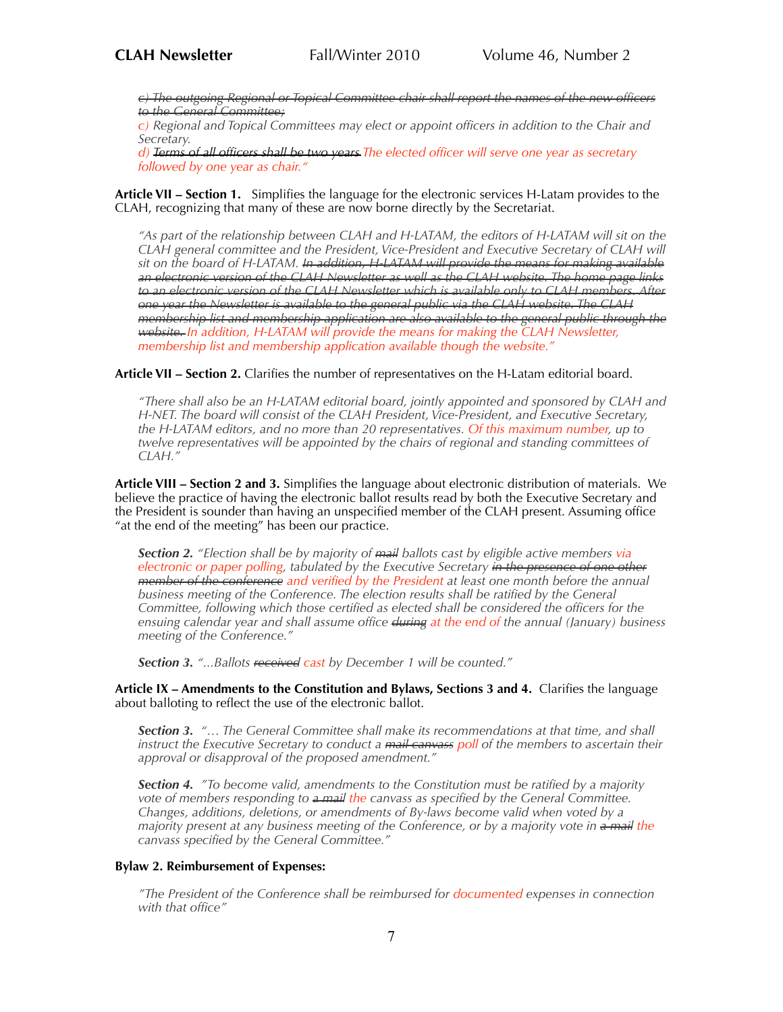*c) The outgoing Regional or Topical Committee chair shall report the names of the new officers to the General Committee;*

*c) Regional and Topical Committees may elect or appoint officers in addition to the Chair and Secretary.*

*d) Terms of all officers shall be two years The elected officer will serve one year as secretary followed by one year as chair."*

**Article VII – Section 1.** Simplifies the language for the electronic services H-Latam provides to the CLAH, recognizing that many of these are now borne directly by the Secretariat.

*"As part of the relationship between CLAH and H-LATAM, the editors of H-LATAM will sit on the CLAH general committee and the President, Vice-President and Executive Secretary of CLAH will sit on the board of H-LATAM. In addition, H-LATAM will provide the means for making available an electronic version of the CLAH Newsletter as well as the CLAH website. The home page links to an electronic version of the CLAH Newsletter which is available only to CLAH members. After one year the Newsletter is available to the general public via the CLAH website. The CLAH membership list and membership application are also available to the general public through the website. In addition, H-LATAM will provide the means for making the CLAH Newsletter, membership list and membership application available though the website."*

**Article VII – Section 2.** Clarifies the number of representatives on the H-Latam editorial board.

*"There shall also be an H-LATAM editorial board, jointly appointed and sponsored by CLAH and H-NET. The board will consist of the CLAH President, Vice-President, and Executive Secretary, the H-LATAM editors, and no more than 20 representatives. Of this maximum number, up to twelve representatives will be appointed by the chairs of regional and standing committees of CLAH."*

**Article VIII – Section 2 and 3.** Simplifies the language about electronic distribution of materials. We believe the practice of having the electronic ballot results read by both the Executive Secretary and the President is sounder than having an unspecified member of the CLAH present. Assuming office "at the end of the meeting" has been our practice.

*Section 2. "Election shall be by majority of mail ballots cast by eligible active members via electronic or paper polling, tabulated by the Executive Secretary in the presence of one other member of the conference and verified by the President at least one month before the annual*  business meeting of the Conference. The election results shall be ratified by the General *Committee, following which those certified as elected shall be considered the officers for the ensuing calendar year and shall assume office during at the end of the annual (January) business meeting of the Conference."*

*Section 3. "...Ballots received cast by December 1 will be counted."*

**Article IX – Amendments to the Constitution and Bylaws, Sections 3 and 4.** Clarifies the language about balloting to reflect the use of the electronic ballot.

*Section 3. "… The General Committee shall make its recommendations at that time, and shall instruct the Executive Secretary to conduct a mail canvass poll of the members to ascertain their approval or disapproval of the proposed amendment."*

*Section 4. "To become valid, amendments to the Constitution must be ratified by a majority vote of members responding to a mail the canvass as specified by the General Committee. Changes, additions, deletions, or amendments of By-laws become valid when voted by a majority present at any business meeting of the Conference, or by a majority vote in a mail the canvass specified by the General Committee."*

#### **Bylaw 2. Reimbursement of Expenses:**

*"The President of the Conference shall be reimbursed for documented expenses in connection with that office"*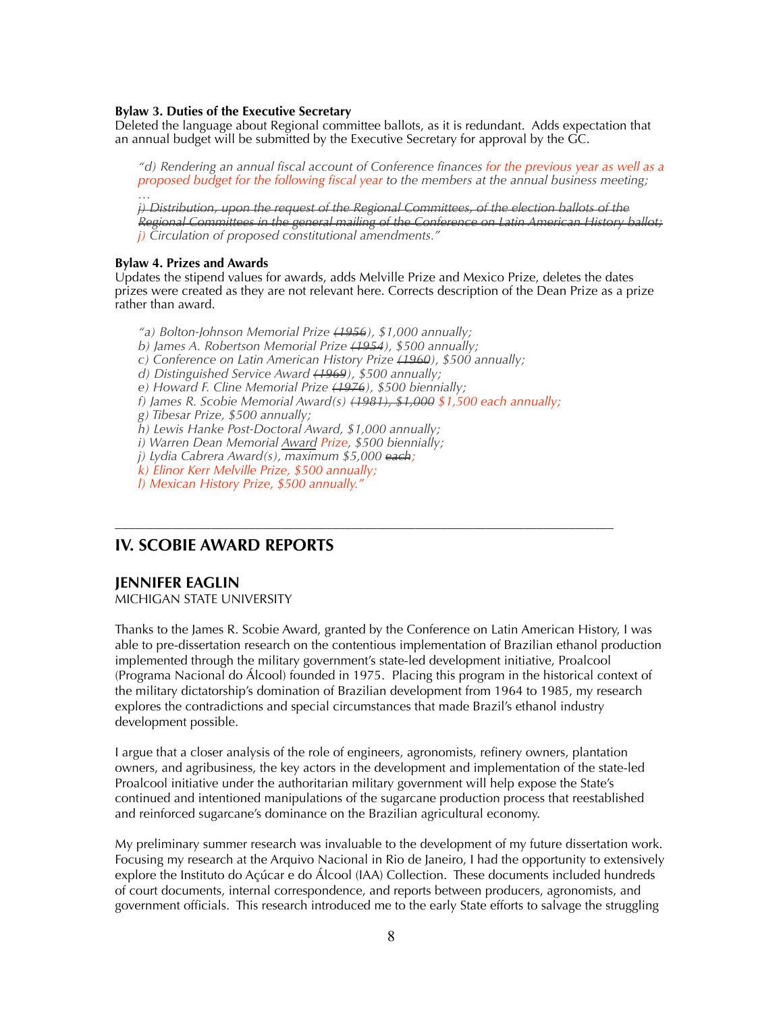#### **Bylaw 3. Duties of the Executive Secretary**

Deleted the language about Regional committee ballots, as it is redundant. Adds expectation that an annual budget will be submitted by the Executive Secretary for approval by the GC.

*"d) Rendering an annual fiscal account of Conference finances for the previous year as well as a proposed budget for the following fiscal year to the members at the annual business meeting; …*

*j) Distribution, upon the request of the Regional Committees, of the election ballots of the Regional Committees in the general mailing of the Conference on Latin American History ballot; j) Circulation of proposed constitutional amendments."*

#### **Bylaw 4. Prizes and Awards**

Updates the stipend values for awards, adds Melville Prize and Mexico Prize, deletes the dates prizes were created as they are not relevant here. Corrects description of the Dean Prize as a prize rather than award.

*"a) Bolton-Johnson Memorial Prize (1956), \$1,000 annually; b) James A. Robertson Memorial Prize (1954), \$500 annually; c) Conference on Latin American History Prize (1960), \$500 annually; d) Distinguished Service Award (1969), \$500 annually; e) Howard F. Cline Memorial Prize (1976), \$500 biennially; f) James R. Scobie Memorial Award(s) (1981), \$1,000 \$1,500 each annually; g) Tibesar Prize, \$500 annually; h) Lewis Hanke Post-Doctoral Award, \$1,000 annually; i) Warren Dean Memorial Award Prize, \$500 biennially; j) Lydia Cabrera Award(s), maximum \$5,000 each; k) Elinor Kerr Melville Prize, \$500 annually; l) Mexican History Prize, \$500 annually."*

––––––––––––––––––––––––––––––––––––––––––––––––––––––––––––––––––––––––––––––

## **IV. SCOBIE AWARD REPORTS**

## **JENNIFER EAGLIN**

MICHIGAN STATE UNIVERSITY

Thanks to the James R. Scobie Award, granted by the Conference on Latin American History, I was able to pre-dissertation research on the contentious implementation of Brazilian ethanol production implemented through the military government's state-led development initiative, Proalcool (Programa Nacional do Álcool) founded in 1975. Placing this program in the historical context of the military dictatorship's domination of Brazilian development from 1964 to 1985, my research explores the contradictions and special circumstances that made Brazil's ethanol industry development possible.

I argue that a closer analysis of the role of engineers, agronomists, refinery owners, plantation owners, and agribusiness, the key actors in the development and implementation of the state-led Proalcool initiative under the authoritarian military government will help expose the State's continued and intentioned manipulations of the sugarcane production process that reestablished and reinforced sugarcane's dominance on the Brazilian agricultural economy.

My preliminary summer research was invaluable to the development of my future dissertation work. Focusing my research at the Arquivo Nacional in Rio de Janeiro, I had the opportunity to extensively explore the Instituto do Açúcar e do Álcool (IAA) Collection. These documents included hundreds of court documents, internal correspondence, and reports between producers, agronomists, and government officials. This research introduced me to the early State efforts to salvage the struggling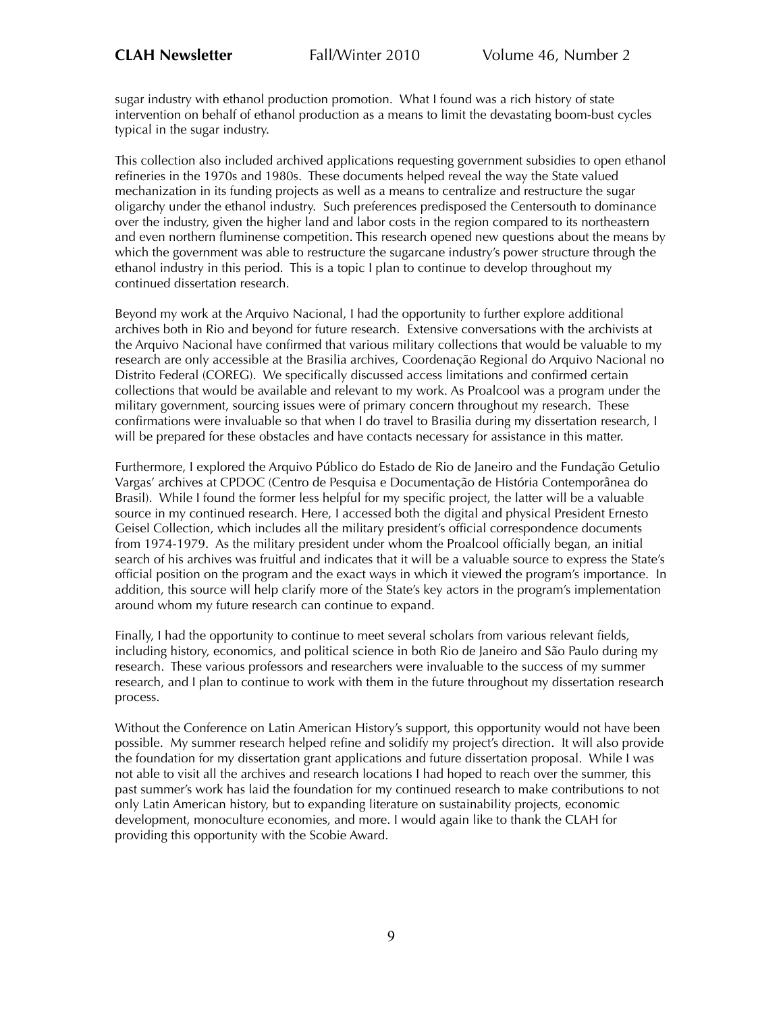sugar industry with ethanol production promotion. What I found was a rich history of state intervention on behalf of ethanol production as a means to limit the devastating boom-bust cycles typical in the sugar industry.

This collection also included archived applications requesting government subsidies to open ethanol refineries in the 1970s and 1980s. These documents helped reveal the way the State valued mechanization in its funding projects as well as a means to centralize and restructure the sugar oligarchy under the ethanol industry. Such preferences predisposed the Centersouth to dominance over the industry, given the higher land and labor costs in the region compared to its northeastern and even northern fluminense competition. This research opened new questions about the means by which the government was able to restructure the sugarcane industry's power structure through the ethanol industry in this period. This is a topic I plan to continue to develop throughout my continued dissertation research.

Beyond my work at the Arquivo Nacional, I had the opportunity to further explore additional archives both in Rio and beyond for future research. Extensive conversations with the archivists at the Arquivo Nacional have confirmed that various military collections that would be valuable to my research are only accessible at the Brasilia archives, Coordenação Regional do Arquivo Nacional no Distrito Federal (COREG). We specifically discussed access limitations and confirmed certain collections that would be available and relevant to my work. As Proalcool was a program under the military government, sourcing issues were of primary concern throughout my research. These confirmations were invaluable so that when I do travel to Brasilia during my dissertation research, I will be prepared for these obstacles and have contacts necessary for assistance in this matter.

Furthermore, I explored the Arquivo Público do Estado de Rio de Janeiro and the Fundação Getulio Vargas' archives at CPDOC (Centro de Pesquisa e Documentação de História Contemporânea do Brasil). While I found the former less helpful for my specific project, the latter will be a valuable source in my continued research. Here, I accessed both the digital and physical President Ernesto Geisel Collection, which includes all the military president's official correspondence documents from 1974-1979. As the military president under whom the Proalcool officially began, an initial search of his archives was fruitful and indicates that it will be a valuable source to express the State's official position on the program and the exact ways in which it viewed the program's importance. In addition, this source will help clarify more of the State's key actors in the program's implementation around whom my future research can continue to expand.

Finally, I had the opportunity to continue to meet several scholars from various relevant fields, including history, economics, and political science in both Rio de Janeiro and São Paulo during my research. These various professors and researchers were invaluable to the success of my summer research, and I plan to continue to work with them in the future throughout my dissertation research process.

Without the Conference on Latin American History's support, this opportunity would not have been possible. My summer research helped refine and solidify my project's direction. It will also provide the foundation for my dissertation grant applications and future dissertation proposal. While I was not able to visit all the archives and research locations I had hoped to reach over the summer, this past summer's work has laid the foundation for my continued research to make contributions to not only Latin American history, but to expanding literature on sustainability projects, economic development, monoculture economies, and more. I would again like to thank the CLAH for providing this opportunity with the Scobie Award.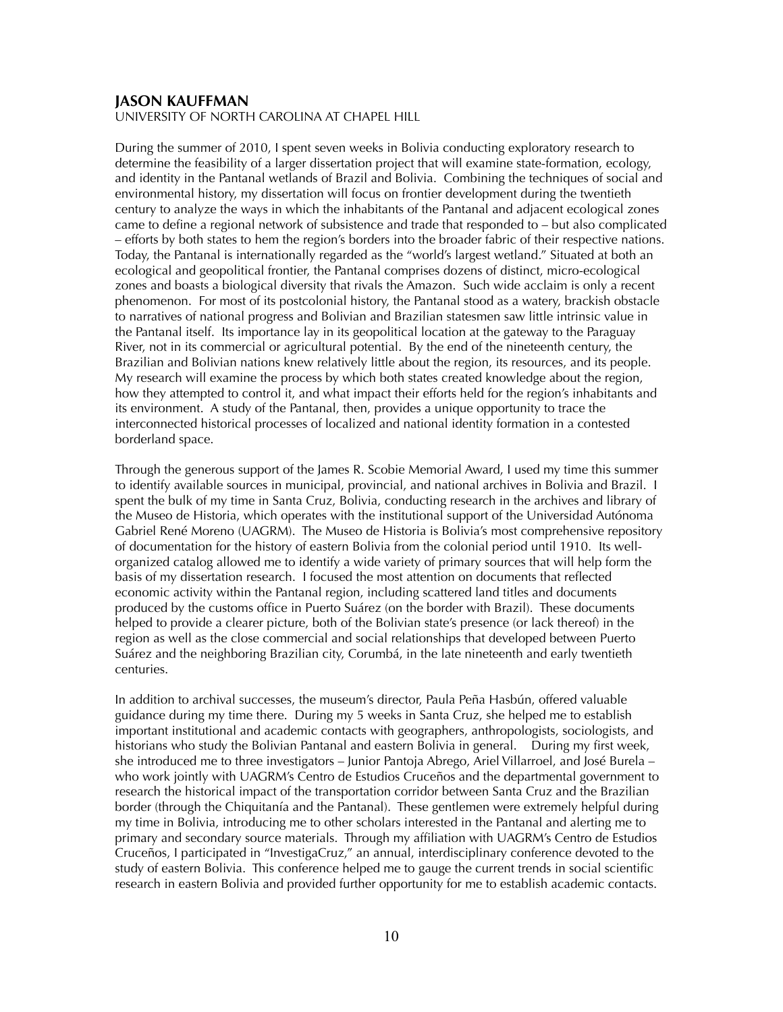## **JASON KAUFFMAN**

UNIVERSITY OF NORTH CAROLINA AT CHAPEL HILL

During the summer of 2010, I spent seven weeks in Bolivia conducting exploratory research to determine the feasibility of a larger dissertation project that will examine state-formation, ecology, and identity in the Pantanal wetlands of Brazil and Bolivia. Combining the techniques of social and environmental history, my dissertation will focus on frontier development during the twentieth century to analyze the ways in which the inhabitants of the Pantanal and adjacent ecological zones came to define a regional network of subsistence and trade that responded to – but also complicated – efforts by both states to hem the region's borders into the broader fabric of their respective nations. Today, the Pantanal is internationally regarded as the "world's largest wetland." Situated at both an ecological and geopolitical frontier, the Pantanal comprises dozens of distinct, micro-ecological zones and boasts a biological diversity that rivals the Amazon. Such wide acclaim is only a recent phenomenon. For most of its postcolonial history, the Pantanal stood as a watery, brackish obstacle to narratives of national progress and Bolivian and Brazilian statesmen saw little intrinsic value in the Pantanal itself. Its importance lay in its geopolitical location at the gateway to the Paraguay River, not in its commercial or agricultural potential. By the end of the nineteenth century, the Brazilian and Bolivian nations knew relatively little about the region, its resources, and its people. My research will examine the process by which both states created knowledge about the region, how they attempted to control it, and what impact their efforts held for the region's inhabitants and its environment. A study of the Pantanal, then, provides a unique opportunity to trace the interconnected historical processes of localized and national identity formation in a contested borderland space.

Through the generous support of the James R. Scobie Memorial Award, I used my time this summer to identify available sources in municipal, provincial, and national archives in Bolivia and Brazil. I spent the bulk of my time in Santa Cruz, Bolivia, conducting research in the archives and library of the Museo de Historia, which operates with the institutional support of the Universidad Autónoma Gabriel René Moreno (UAGRM). The Museo de Historia is Bolivia's most comprehensive repository of documentation for the history of eastern Bolivia from the colonial period until 1910. Its wellorganized catalog allowed me to identify a wide variety of primary sources that will help form the basis of my dissertation research. I focused the most attention on documents that reflected economic activity within the Pantanal region, including scattered land titles and documents produced by the customs office in Puerto Suárez (on the border with Brazil). These documents helped to provide a clearer picture, both of the Bolivian state's presence (or lack thereof) in the region as well as the close commercial and social relationships that developed between Puerto Suárez and the neighboring Brazilian city, Corumbá, in the late nineteenth and early twentieth centuries.

In addition to archival successes, the museum's director, Paula Peña Hasbún, offered valuable guidance during my time there. During my 5 weeks in Santa Cruz, she helped me to establish important institutional and academic contacts with geographers, anthropologists, sociologists, and historians who study the Bolivian Pantanal and eastern Bolivia in general. During my first week, she introduced me to three investigators – Junior Pantoja Abrego, Ariel Villarroel, and José Burela – who work jointly with UAGRM's Centro de Estudios Cruceños and the departmental government to research the historical impact of the transportation corridor between Santa Cruz and the Brazilian border (through the Chiquitanía and the Pantanal). These gentlemen were extremely helpful during my time in Bolivia, introducing me to other scholars interested in the Pantanal and alerting me to primary and secondary source materials. Through my affiliation with UAGRM's Centro de Estudios Cruceños, I participated in "InvestigaCruz," an annual, interdisciplinary conference devoted to the study of eastern Bolivia. This conference helped me to gauge the current trends in social scientific research in eastern Bolivia and provided further opportunity for me to establish academic contacts.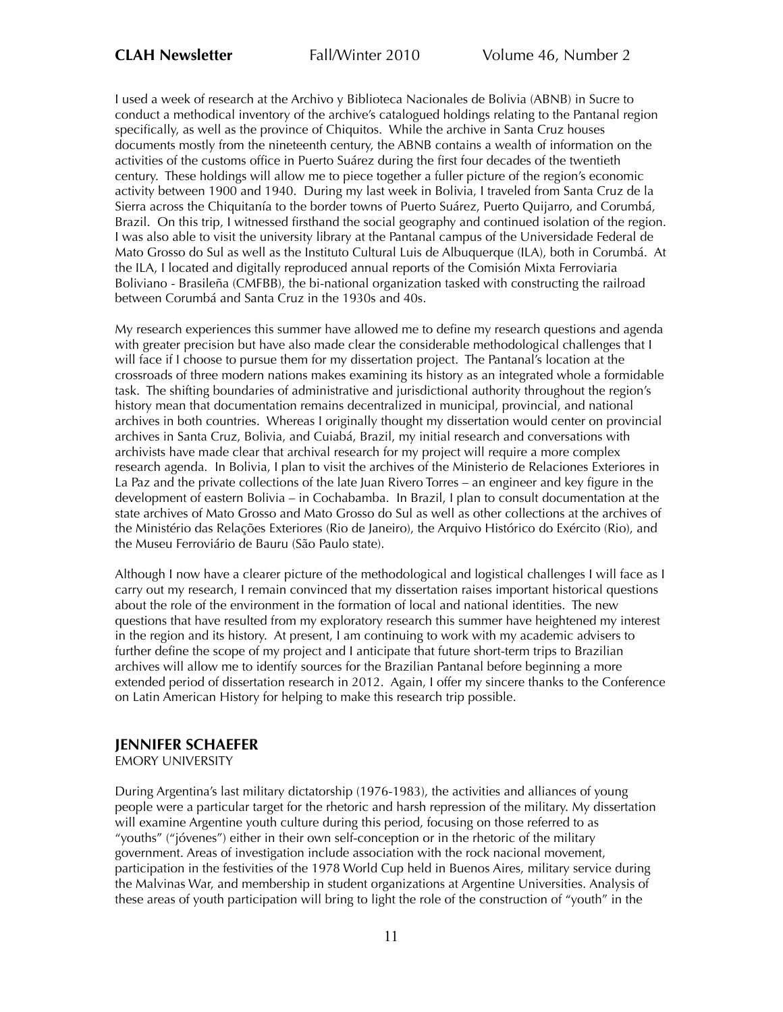I used a week of research at the Archivo y Biblioteca Nacionales de Bolivia (ABNB) in Sucre to conduct a methodical inventory of the archive's catalogued holdings relating to the Pantanal region specifically, as well as the province of Chiquitos. While the archive in Santa Cruz houses documents mostly from the nineteenth century, the ABNB contains a wealth of information on the activities of the customs office in Puerto Suárez during the first four decades of the twentieth century. These holdings will allow me to piece together a fuller picture of the region's economic activity between 1900 and 1940. During my last week in Bolivia, I traveled from Santa Cruz de la Sierra across the Chiquitanía to the border towns of Puerto Suárez, Puerto Quijarro, and Corumbá, Brazil. On this trip, I witnessed firsthand the social geography and continued isolation of the region. I was also able to visit the university library at the Pantanal campus of the Universidade Federal de Mato Grosso do Sul as well as the Instituto Cultural Luis de Albuquerque (ILA), both in Corumbá. At the ILA, I located and digitally reproduced annual reports of the Comisión Mixta Ferroviaria Boliviano - Brasileña (CMFBB), the bi-national organization tasked with constructing the railroad between Corumbá and Santa Cruz in the 1930s and 40s.

My research experiences this summer have allowed me to define my research questions and agenda with greater precision but have also made clear the considerable methodological challenges that I will face if I choose to pursue them for my dissertation project. The Pantanal's location at the crossroads of three modern nations makes examining its history as an integrated whole a formidable task. The shifting boundaries of administrative and jurisdictional authority throughout the region's history mean that documentation remains decentralized in municipal, provincial, and national archives in both countries. Whereas I originally thought my dissertation would center on provincial archives in Santa Cruz, Bolivia, and Cuiabá, Brazil, my initial research and conversations with archivists have made clear that archival research for my project will require a more complex research agenda. In Bolivia, I plan to visit the archives of the Ministerio de Relaciones Exteriores in La Paz and the private collections of the late Juan Rivero Torres – an engineer and key figure in the development of eastern Bolivia – in Cochabamba. In Brazil, I plan to consult documentation at the state archives of Mato Grosso and Mato Grosso do Sul as well as other collections at the archives of the Ministério das Relações Exteriores (Rio de Janeiro), the Arquivo Histórico do Exército (Rio), and the Museu Ferroviário de Bauru (São Paulo state).

Although I now have a clearer picture of the methodological and logistical challenges I will face as I carry out my research, I remain convinced that my dissertation raises important historical questions about the role of the environment in the formation of local and national identities. The new questions that have resulted from my exploratory research this summer have heightened my interest in the region and its history. At present, I am continuing to work with my academic advisers to further define the scope of my project and I anticipate that future short-term trips to Brazilian archives will allow me to identify sources for the Brazilian Pantanal before beginning a more extended period of dissertation research in 2012. Again, I offer my sincere thanks to the Conference on Latin American History for helping to make this research trip possible.

# **JENNIFER SCHAEFER**

EMORY UNIVERSITY

During Argentina's last military dictatorship (1976-1983), the activities and alliances of young people were a particular target for the rhetoric and harsh repression of the military. My dissertation will examine Argentine youth culture during this period, focusing on those referred to as "youths" ("jóvenes") either in their own self-conception or in the rhetoric of the military government. Areas of investigation include association with the rock nacional movement, participation in the festivities of the 1978 World Cup held in Buenos Aires, military service during the Malvinas War, and membership in student organizations at Argentine Universities. Analysis of these areas of youth participation will bring to light the role of the construction of "youth" in the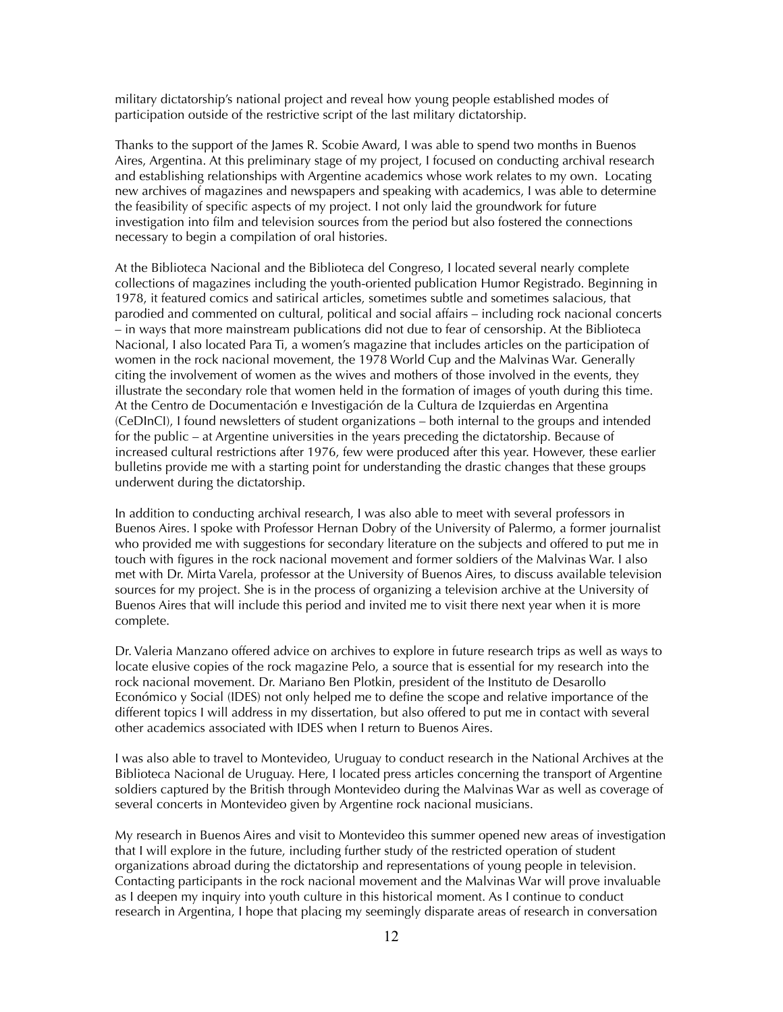military dictatorship's national project and reveal how young people established modes of participation outside of the restrictive script of the last military dictatorship.

Thanks to the support of the James R. Scobie Award, I was able to spend two months in Buenos Aires, Argentina. At this preliminary stage of my project, I focused on conducting archival research and establishing relationships with Argentine academics whose work relates to my own. Locating new archives of magazines and newspapers and speaking with academics, I was able to determine the feasibility of specific aspects of my project. I not only laid the groundwork for future investigation into film and television sources from the period but also fostered the connections necessary to begin a compilation of oral histories.

At the Biblioteca Nacional and the Biblioteca del Congreso, I located several nearly complete collections of magazines including the youth-oriented publication Humor Registrado. Beginning in 1978, it featured comics and satirical articles, sometimes subtle and sometimes salacious, that parodied and commented on cultural, political and social affairs – including rock nacional concerts – in ways that more mainstream publications did not due to fear of censorship. At the Biblioteca Nacional, I also located Para Ti, a women's magazine that includes articles on the participation of women in the rock nacional movement, the 1978 World Cup and the Malvinas War. Generally citing the involvement of women as the wives and mothers of those involved in the events, they illustrate the secondary role that women held in the formation of images of youth during this time. At the Centro de Documentación e Investigación de la Cultura de Izquierdas en Argentina (CeDInCI), I found newsletters of student organizations – both internal to the groups and intended for the public – at Argentine universities in the years preceding the dictatorship. Because of increased cultural restrictions after 1976, few were produced after this year. However, these earlier bulletins provide me with a starting point for understanding the drastic changes that these groups underwent during the dictatorship.

In addition to conducting archival research, I was also able to meet with several professors in Buenos Aires. I spoke with Professor Hernan Dobry of the University of Palermo, a former journalist who provided me with suggestions for secondary literature on the subjects and offered to put me in touch with figures in the rock nacional movement and former soldiers of the Malvinas War. I also met with Dr. Mirta Varela, professor at the University of Buenos Aires, to discuss available television sources for my project. She is in the process of organizing a television archive at the University of Buenos Aires that will include this period and invited me to visit there next year when it is more complete.

Dr. Valeria Manzano offered advice on archives to explore in future research trips as well as ways to locate elusive copies of the rock magazine Pelo, a source that is essential for my research into the rock nacional movement. Dr. Mariano Ben Plotkin, president of the Instituto de Desarollo Económico y Social (IDES) not only helped me to define the scope and relative importance of the different topics I will address in my dissertation, but also offered to put me in contact with several other academics associated with IDES when I return to Buenos Aires.

I was also able to travel to Montevideo, Uruguay to conduct research in the National Archives at the Biblioteca Nacional de Uruguay. Here, I located press articles concerning the transport of Argentine soldiers captured by the British through Montevideo during the Malvinas War as well as coverage of several concerts in Montevideo given by Argentine rock nacional musicians.

My research in Buenos Aires and visit to Montevideo this summer opened new areas of investigation that I will explore in the future, including further study of the restricted operation of student organizations abroad during the dictatorship and representations of young people in television. Contacting participants in the rock nacional movement and the Malvinas War will prove invaluable as I deepen my inquiry into youth culture in this historical moment. As I continue to conduct research in Argentina, I hope that placing my seemingly disparate areas of research in conversation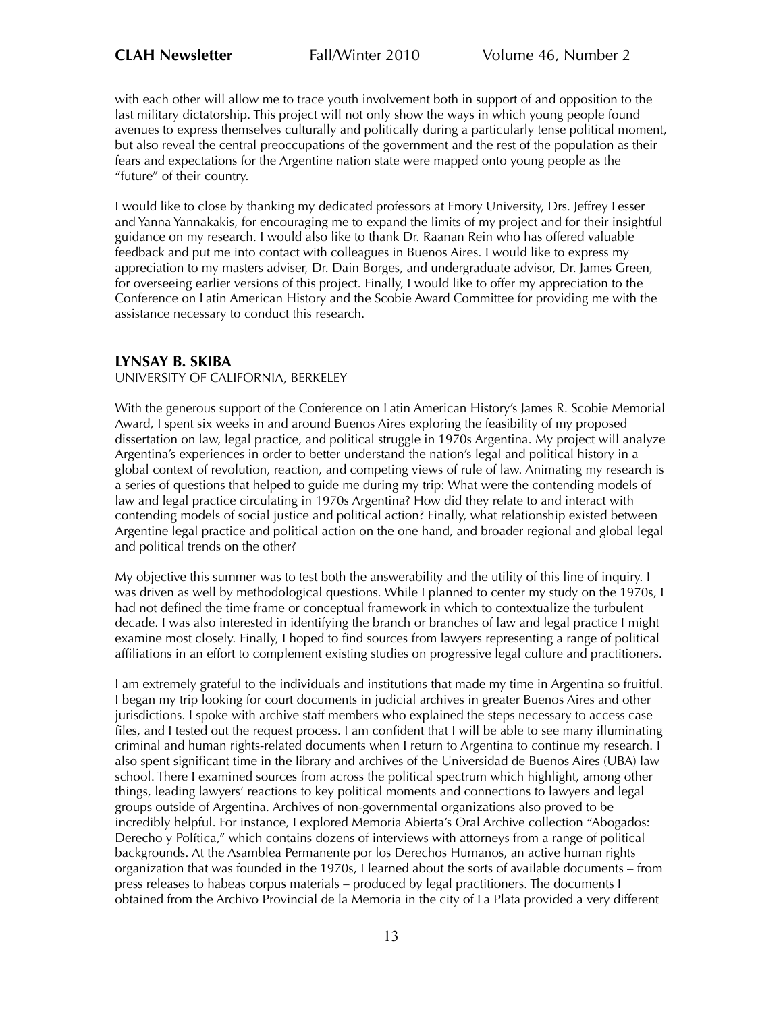with each other will allow me to trace youth involvement both in support of and opposition to the last military dictatorship. This project will not only show the ways in which young people found avenues to express themselves culturally and politically during a particularly tense political moment, but also reveal the central preoccupations of the government and the rest of the population as their fears and expectations for the Argentine nation state were mapped onto young people as the "future" of their country.

I would like to close by thanking my dedicated professors at Emory University, Drs. Jeffrey Lesser and Yanna Yannakakis, for encouraging me to expand the limits of my project and for their insightful guidance on my research. I would also like to thank Dr. Raanan Rein who has offered valuable feedback and put me into contact with colleagues in Buenos Aires. I would like to express my appreciation to my masters adviser, Dr. Dain Borges, and undergraduate advisor, Dr. James Green, for overseeing earlier versions of this project. Finally, I would like to offer my appreciation to the Conference on Latin American History and the Scobie Award Committee for providing me with the assistance necessary to conduct this research.

## **LYNSAY B. SKIBA**

#### UNIVERSITY OF CALIFORNIA, BERKELEY

With the generous support of the Conference on Latin American History's James R. Scobie Memorial Award, I spent six weeks in and around Buenos Aires exploring the feasibility of my proposed dissertation on law, legal practice, and political struggle in 1970s Argentina. My project will analyze Argentina's experiences in order to better understand the nation's legal and political history in a global context of revolution, reaction, and competing views of rule of law. Animating my research is a series of questions that helped to guide me during my trip: What were the contending models of law and legal practice circulating in 1970s Argentina? How did they relate to and interact with contending models of social justice and political action? Finally, what relationship existed between Argentine legal practice and political action on the one hand, and broader regional and global legal and political trends on the other?

My objective this summer was to test both the answerability and the utility of this line of inquiry. I was driven as well by methodological questions. While I planned to center my study on the 1970s, I had not defined the time frame or conceptual framework in which to contextualize the turbulent decade. I was also interested in identifying the branch or branches of law and legal practice I might examine most closely. Finally, I hoped to find sources from lawyers representing a range of political affiliations in an effort to complement existing studies on progressive legal culture and practitioners.

I am extremely grateful to the individuals and institutions that made my time in Argentina so fruitful. I began my trip looking for court documents in judicial archives in greater Buenos Aires and other jurisdictions. I spoke with archive staff members who explained the steps necessary to access case files, and I tested out the request process. I am confident that I will be able to see many illuminating criminal and human rights-related documents when I return to Argentina to continue my research. I also spent significant time in the library and archives of the Universidad de Buenos Aires (UBA) law school. There I examined sources from across the political spectrum which highlight, among other things, leading lawyers' reactions to key political moments and connections to lawyers and legal groups outside of Argentina. Archives of non-governmental organizations also proved to be incredibly helpful. For instance, I explored Memoria Abierta's Oral Archive collection "Abogados: Derecho y Política," which contains dozens of interviews with attorneys from a range of political backgrounds. At the Asamblea Permanente por los Derechos Humanos, an active human rights organization that was founded in the 1970s, I learned about the sorts of available documents – from press releases to habeas corpus materials – produced by legal practitioners. The documents I obtained from the Archivo Provincial de la Memoria in the city of La Plata provided a very different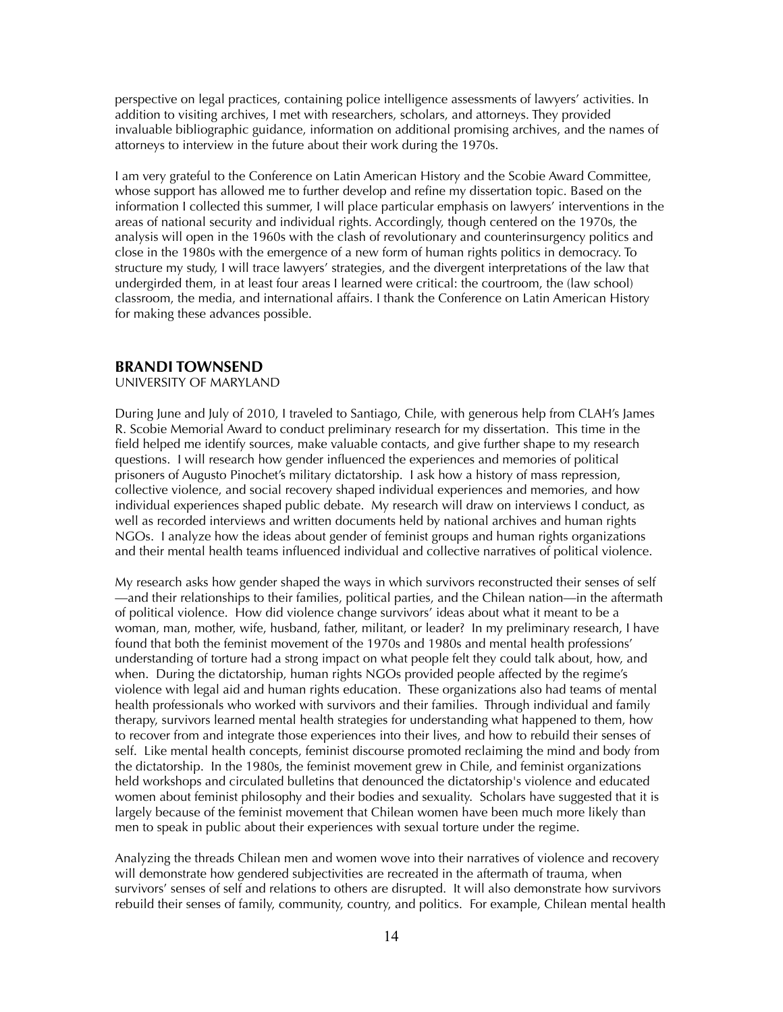perspective on legal practices, containing police intelligence assessments of lawyers' activities. In addition to visiting archives, I met with researchers, scholars, and attorneys. They provided invaluable bibliographic guidance, information on additional promising archives, and the names of attorneys to interview in the future about their work during the 1970s.

I am very grateful to the Conference on Latin American History and the Scobie Award Committee, whose support has allowed me to further develop and refine my dissertation topic. Based on the information I collected this summer, I will place particular emphasis on lawyers' interventions in the areas of national security and individual rights. Accordingly, though centered on the 1970s, the analysis will open in the 1960s with the clash of revolutionary and counterinsurgency politics and close in the 1980s with the emergence of a new form of human rights politics in democracy. To structure my study, I will trace lawyers' strategies, and the divergent interpretations of the law that undergirded them, in at least four areas I learned were critical: the courtroom, the (law school) classroom, the media, and international affairs. I thank the Conference on Latin American History for making these advances possible.

## **BRANDI TOWNSEND**

### UNIVERSITY OF MARYLAND

During June and July of 2010, I traveled to Santiago, Chile, with generous help from CLAH's James R. Scobie Memorial Award to conduct preliminary research for my dissertation. This time in the field helped me identify sources, make valuable contacts, and give further shape to my research questions. I will research how gender influenced the experiences and memories of political prisoners of Augusto Pinochet's military dictatorship. I ask how a history of mass repression, collective violence, and social recovery shaped individual experiences and memories, and how individual experiences shaped public debate. My research will draw on interviews I conduct, as well as recorded interviews and written documents held by national archives and human rights NGOs. I analyze how the ideas about gender of feminist groups and human rights organizations and their mental health teams influenced individual and collective narratives of political violence.

My research asks how gender shaped the ways in which survivors reconstructed their senses of self —and their relationships to their families, political parties, and the Chilean nation—in the aftermath of political violence. How did violence change survivors' ideas about what it meant to be a woman, man, mother, wife, husband, father, militant, or leader? In my preliminary research, I have found that both the feminist movement of the 1970s and 1980s and mental health professions' understanding of torture had a strong impact on what people felt they could talk about, how, and when. During the dictatorship, human rights NGOs provided people affected by the regime's violence with legal aid and human rights education. These organizations also had teams of mental health professionals who worked with survivors and their families. Through individual and family therapy, survivors learned mental health strategies for understanding what happened to them, how to recover from and integrate those experiences into their lives, and how to rebuild their senses of self. Like mental health concepts, feminist discourse promoted reclaiming the mind and body from the dictatorship. In the 1980s, the feminist movement grew in Chile, and feminist organizations held workshops and circulated bulletins that denounced the dictatorship's violence and educated women about feminist philosophy and their bodies and sexuality. Scholars have suggested that it is largely because of the feminist movement that Chilean women have been much more likely than men to speak in public about their experiences with sexual torture under the regime.

Analyzing the threads Chilean men and women wove into their narratives of violence and recovery will demonstrate how gendered subjectivities are recreated in the aftermath of trauma, when survivors' senses of self and relations to others are disrupted. It will also demonstrate how survivors rebuild their senses of family, community, country, and politics. For example, Chilean mental health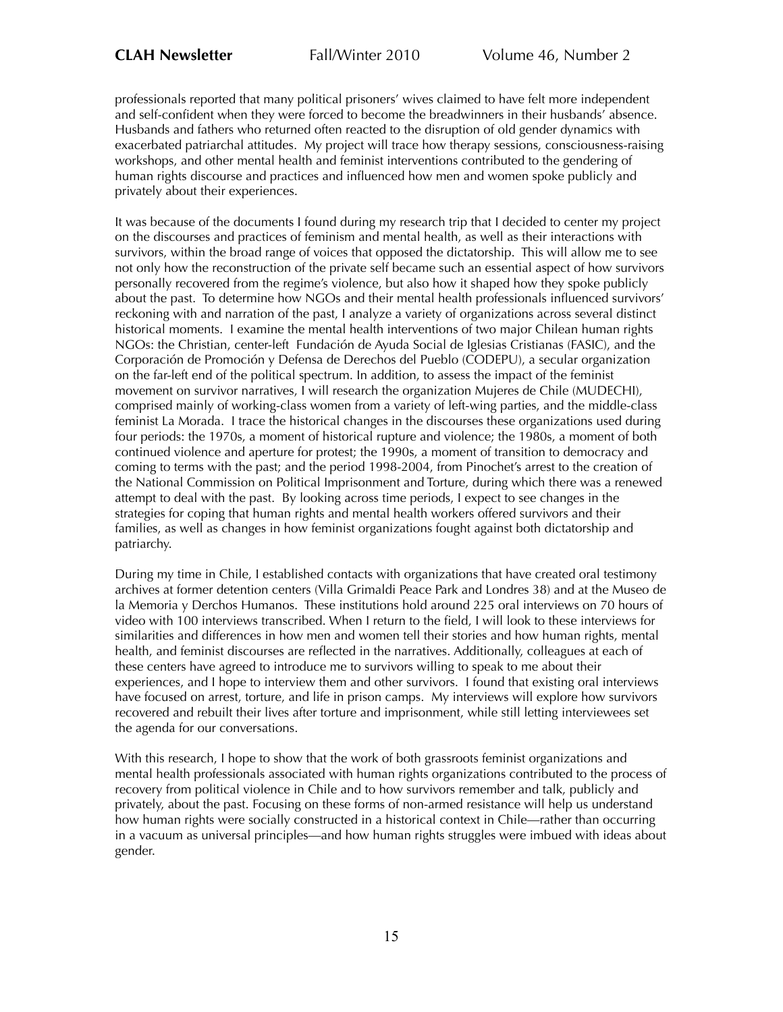professionals reported that many political prisoners' wives claimed to have felt more independent and self-confident when they were forced to become the breadwinners in their husbands' absence. Husbands and fathers who returned often reacted to the disruption of old gender dynamics with exacerbated patriarchal attitudes. My project will trace how therapy sessions, consciousness-raising workshops, and other mental health and feminist interventions contributed to the gendering of human rights discourse and practices and influenced how men and women spoke publicly and privately about their experiences.

It was because of the documents I found during my research trip that I decided to center my project on the discourses and practices of feminism and mental health, as well as their interactions with survivors, within the broad range of voices that opposed the dictatorship. This will allow me to see not only how the reconstruction of the private self became such an essential aspect of how survivors personally recovered from the regime's violence, but also how it shaped how they spoke publicly about the past. To determine how NGOs and their mental health professionals influenced survivors' reckoning with and narration of the past, I analyze a variety of organizations across several distinct historical moments. I examine the mental health interventions of two major Chilean human rights NGOs: the Christian, center-left Fundación de Ayuda Social de Iglesias Cristianas (FASIC), and the Corporación de Promoción y Defensa de Derechos del Pueblo (CODEPU), a secular organization on the far-left end of the political spectrum. In addition, to assess the impact of the feminist movement on survivor narratives, I will research the organization Mujeres de Chile (MUDECHI), comprised mainly of working-class women from a variety of left-wing parties, and the middle-class feminist La Morada. I trace the historical changes in the discourses these organizations used during four periods: the 1970s, a moment of historical rupture and violence; the 1980s, a moment of both continued violence and aperture for protest; the 1990s, a moment of transition to democracy and coming to terms with the past; and the period 1998-2004, from Pinochet's arrest to the creation of the National Commission on Political Imprisonment and Torture, during which there was a renewed attempt to deal with the past. By looking across time periods, I expect to see changes in the strategies for coping that human rights and mental health workers offered survivors and their families, as well as changes in how feminist organizations fought against both dictatorship and patriarchy.

During my time in Chile, I established contacts with organizations that have created oral testimony archives at former detention centers (Villa Grimaldi Peace Park and Londres 38) and at the Museo de la Memoria y Derchos Humanos. These institutions hold around 225 oral interviews on 70 hours of video with 100 interviews transcribed. When I return to the field, I will look to these interviews for similarities and differences in how men and women tell their stories and how human rights, mental health, and feminist discourses are reflected in the narratives. Additionally, colleagues at each of these centers have agreed to introduce me to survivors willing to speak to me about their experiences, and I hope to interview them and other survivors. I found that existing oral interviews have focused on arrest, torture, and life in prison camps. My interviews will explore how survivors recovered and rebuilt their lives after torture and imprisonment, while still letting interviewees set the agenda for our conversations.

With this research, I hope to show that the work of both grassroots feminist organizations and mental health professionals associated with human rights organizations contributed to the process of recovery from political violence in Chile and to how survivors remember and talk, publicly and privately, about the past. Focusing on these forms of non-armed resistance will help us understand how human rights were socially constructed in a historical context in Chile—rather than occurring in a vacuum as universal principles—and how human rights struggles were imbued with ideas about gender.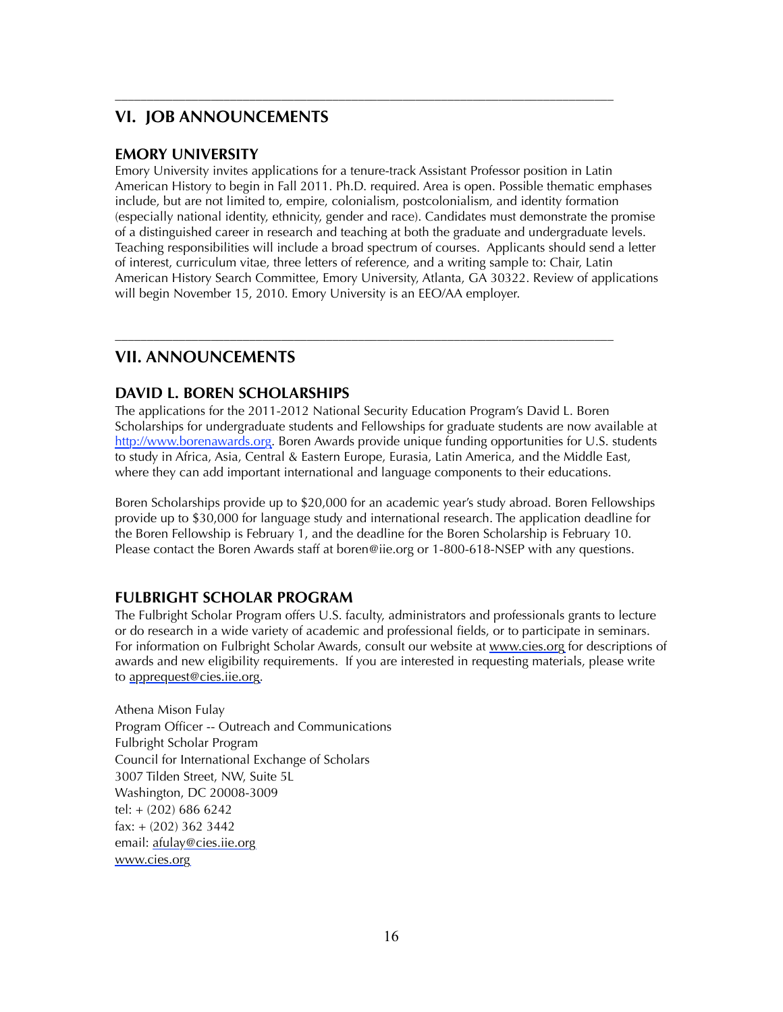# **VI. JOB ANNOUNCEMENTS**

## **EMORY UNIVERSITY**

Emory University invites applications for a tenure-track Assistant Professor position in Latin American History to begin in Fall 2011. Ph.D. required. Area is open. Possible thematic emphases include, but are not limited to, empire, colonialism, postcolonialism, and identity formation (especially national identity, ethnicity, gender and race). Candidates must demonstrate the promise of a distinguished career in research and teaching at both the graduate and undergraduate levels. Teaching responsibilities will include a broad spectrum of courses. Applicants should send a letter of interest, curriculum vitae, three letters of reference, and a writing sample to: Chair, Latin American History Search Committee, Emory University, Atlanta, GA 30322. Review of applications will begin November 15, 2010. Emory University is an EEO/AA employer.

––––––––––––––––––––––––––––––––––––––––––––––––––––––––––––––––––––––––––––––

# **VII. ANNOUNCEMENTS**

## **DAVID L. BOREN SCHOLARSHIPS**

The applications for the 2011-2012 National Security Education Program's David L. Boren Scholarships for undergraduate students and Fellowships for graduate students are now available at <http://www.borenawards.org>. Boren Awards provide unique funding opportunities for U.S. students to study in Africa, Asia, Central & Eastern Europe, Eurasia, Latin America, and the Middle East, where they can add important international and language components to their educations.

––––––––––––––––––––––––––––––––––––––––––––––––––––––––––––––––––––––––––––––

Boren Scholarships provide up to \$20,000 for an academic year's study abroad. Boren Fellowships provide up to \$30,000 for language study and international research. The application deadline for the Boren Fellowship is February 1, and the deadline for the Boren Scholarship is February 10. Please contact the Boren Awards staff at boren@iie.org or 1-800-618-NSEP with any questions.

# **FULBRIGHT SCHOLAR PROGRAM**

The Fulbright Scholar Program offers U.S. faculty, administrators and professionals grants to lecture or do research in a wide variety of academic and professional fields, or to participate in seminars. For information on Fulbright Scholar Awards, consult our website at [www.cies.org](http://www.cies.org/) for descriptions of awards and new eligibility requirements. If you are interested in requesting materials, please write to [apprequest@cies.iie.org](mailto:apprequest@cies.iie.org).

Athena Mison Fulay Program Officer -- Outreach and Communications Fulbright Scholar Program Council for International Exchange of Scholars 3007 Tilden Street, NW, Suite 5L Washington, DC 20008-3009 tel: + (202) 686 6242 fax: + (202) 362 3442 email: [afulay@cies.iie.org](mailto:afulay@cies.iie.org) [www.cies.org](http://www.cies.org/)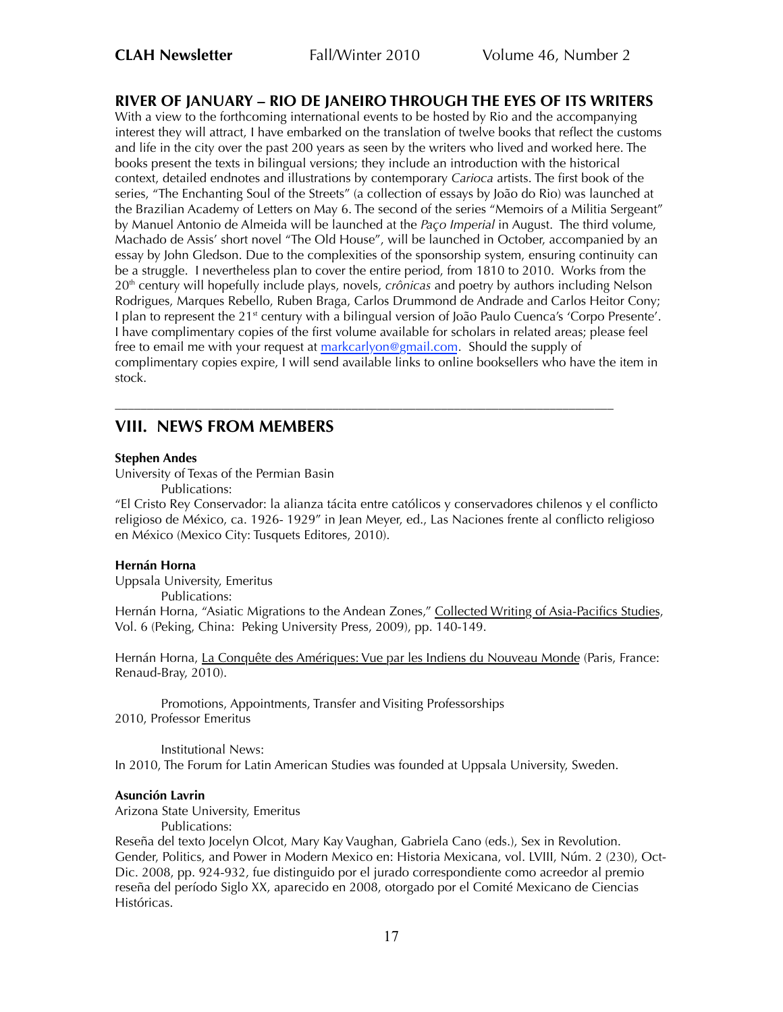# **RIVER OF JANUARY – RIO DE JANEIRO THROUGH THE EYES OF ITS WRITERS**

With a view to the forthcoming international events to be hosted by Rio and the accompanying interest they will attract, I have embarked on the translation of twelve books that reflect the customs and life in the city over the past 200 years as seen by the writers who lived and worked here. The books present the texts in bilingual versions; they include an introduction with the historical context, detailed endnotes and illustrations by contemporary *Carioca* artists. The first book of the series, "The Enchanting Soul of the Streets" (a collection of essays by João do Rio) was launched at the Brazilian Academy of Letters on May 6. The second of the series "Memoirs of a Militia Sergeant" by Manuel Antonio de Almeida will be launched at the *Paço Imperial* in August. The third volume, Machado de Assis' short novel "The Old House", will be launched in October, accompanied by an essay by John Gledson. Due to the complexities of the sponsorship system, ensuring continuity can be a struggle. I nevertheless plan to cover the entire period, from 1810 to 2010. Works from the 20th century will hopefully include plays, novels, *crônicas* and poetry by authors including Nelson Rodrigues, Marques Rebello, Ruben Braga, Carlos Drummond de Andrade and Carlos Heitor Cony; I plan to represent the 21<sup>st</sup> century with a bilingual version of João Paulo Cuenca's 'Corpo Presente'. I have complimentary copies of the first volume available for scholars in related areas; please feel free to email me with your request at [markcarlyon@gmail.com](mailto:markcarlyon@gmail.com). Should the supply of complimentary copies expire, I will send available links to online booksellers who have the item in stock.

# **VIII. NEWS FROM MEMBERS**

#### **Stephen Andes**

University of Texas of the Permian Basin Publications:

"El Cristo Rey Conservador: la alianza tácita entre católicos y conservadores chilenos y el conflicto religioso de México, ca. 1926- 1929" in Jean Meyer, ed., Las Naciones frente al conflicto religioso en México (Mexico City: Tusquets Editores, 2010).

––––––––––––––––––––––––––––––––––––––––––––––––––––––––––––––––––––––––––––––

## **Hernán Horna**

Uppsala University, Emeritus Publications: Hernán Horna, "Asiatic Migrations to the Andean Zones," Collected Writing of Asia-Pacifics Studies, Vol. 6 (Peking, China: Peking University Press, 2009), pp. 140-149.

Hernán Horna, La Conquête des Amériques: Vue par les Indiens du Nouveau Monde (Paris, France: Renaud-Bray, 2010).

Promotions, Appointments, Transfer and Visiting Professorships 2010, Professor Emeritus

Institutional News: In 2010, The Forum for Latin American Studies was founded at Uppsala University, Sweden.

#### **Asunción Lavrin**

Arizona State University, Emeritus

Publications:

Reseña del texto Jocelyn Olcot, Mary Kay Vaughan, Gabriela Cano (eds.), Sex in Revolution. Gender, Politics, and Power in Modern Mexico en: Historia Mexicana, vol. LVIII, Núm. 2 (230), Oct-Dic. 2008, pp. 924-932, fue distinguido por el jurado correspondiente como acreedor al premio reseña del período Siglo XX, aparecido en 2008, otorgado por el Comité Mexicano de Ciencias Históricas.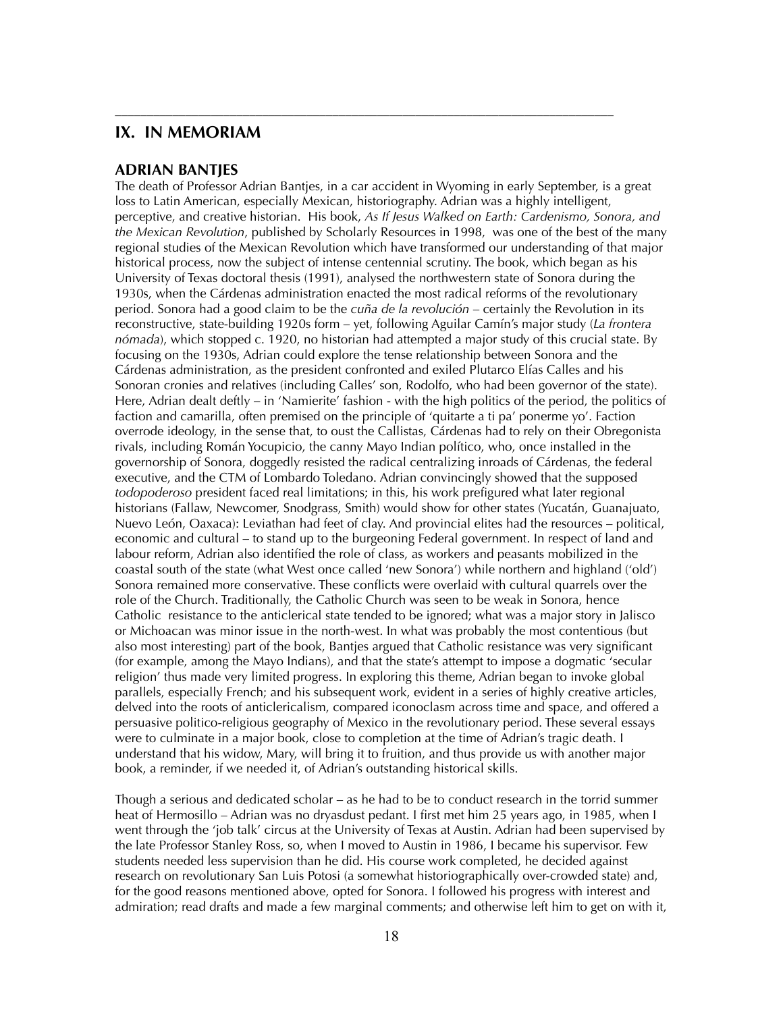## **IX. IN MEMORIAM**

#### **ADRIAN BANTJES**

The death of Professor Adrian Bantjes, in a car accident in Wyoming in early September, is a great loss to Latin American, especially Mexican, historiography. Adrian was a highly intelligent, perceptive, and creative historian. His book, *As If Jesus Walked on Earth: Cardenismo, Sonora, and the Mexican Revolution*, published by Scholarly Resources in 1998, was one of the best of the many regional studies of the Mexican Revolution which have transformed our understanding of that major historical process, now the subject of intense centennial scrutiny. The book, which began as his University of Texas doctoral thesis (1991), analysed the northwestern state of Sonora during the 1930s, when the Cárdenas administration enacted the most radical reforms of the revolutionary period. Sonora had a good claim to be the *cuña de la revolución* – certainly the Revolution in its reconstructive, state-building 1920s form – yet, following Aguilar Camín's major study (*La frontera nómada*), which stopped c. 1920, no historian had attempted a major study of this crucial state. By focusing on the 1930s, Adrian could explore the tense relationship between Sonora and the Cárdenas administration, as the president confronted and exiled Plutarco Elías Calles and his Sonoran cronies and relatives (including Calles' son, Rodolfo, who had been governor of the state). Here, Adrian dealt deftly – in 'Namierite' fashion - with the high politics of the period, the politics of faction and camarilla, often premised on the principle of 'quitarte a ti pa' ponerme yo'. Faction overrode ideology, in the sense that, to oust the Callistas, Cárdenas had to rely on their Obregonista rivals, including Román Yocupicio, the canny Mayo Indian político, who, once installed in the governorship of Sonora, doggedly resisted the radical centralizing inroads of Cárdenas, the federal executive, and the CTM of Lombardo Toledano. Adrian convincingly showed that the supposed *todopoderoso* president faced real limitations; in this, his work prefigured what later regional historians (Fallaw, Newcomer, Snodgrass, Smith) would show for other states (Yucatán, Guanajuato, Nuevo León, Oaxaca): Leviathan had feet of clay. And provincial elites had the resources – political, economic and cultural – to stand up to the burgeoning Federal government. In respect of land and labour reform, Adrian also identified the role of class, as workers and peasants mobilized in the coastal south of the state (what West once called 'new Sonora') while northern and highland ('old') Sonora remained more conservative. These conflicts were overlaid with cultural quarrels over the role of the Church. Traditionally, the Catholic Church was seen to be weak in Sonora, hence Catholic resistance to the anticlerical state tended to be ignored; what was a major story in Jalisco or Michoacan was minor issue in the north-west. In what was probably the most contentious (but also most interesting) part of the book, Bantjes argued that Catholic resistance was very significant (for example, among the Mayo Indians), and that the state's attempt to impose a dogmatic 'secular religion' thus made very limited progress. In exploring this theme, Adrian began to invoke global parallels, especially French; and his subsequent work, evident in a series of highly creative articles, delved into the roots of anticlericalism, compared iconoclasm across time and space, and offered a persuasive politico-religious geography of Mexico in the revolutionary period. These several essays were to culminate in a major book, close to completion at the time of Adrian's tragic death. I understand that his widow, Mary, will bring it to fruition, and thus provide us with another major book, a reminder, if we needed it, of Adrian's outstanding historical skills.

––––––––––––––––––––––––––––––––––––––––––––––––––––––––––––––––––––––––––––––

Though a serious and dedicated scholar – as he had to be to conduct research in the torrid summer heat of Hermosillo – Adrian was no dryasdust pedant. I first met him 25 years ago, in 1985, when I went through the 'job talk' circus at the University of Texas at Austin. Adrian had been supervised by the late Professor Stanley Ross, so, when I moved to Austin in 1986, I became his supervisor. Few students needed less supervision than he did. His course work completed, he decided against research on revolutionary San Luis Potosi (a somewhat historiographically over-crowded state) and, for the good reasons mentioned above, opted for Sonora. I followed his progress with interest and admiration; read drafts and made a few marginal comments; and otherwise left him to get on with it,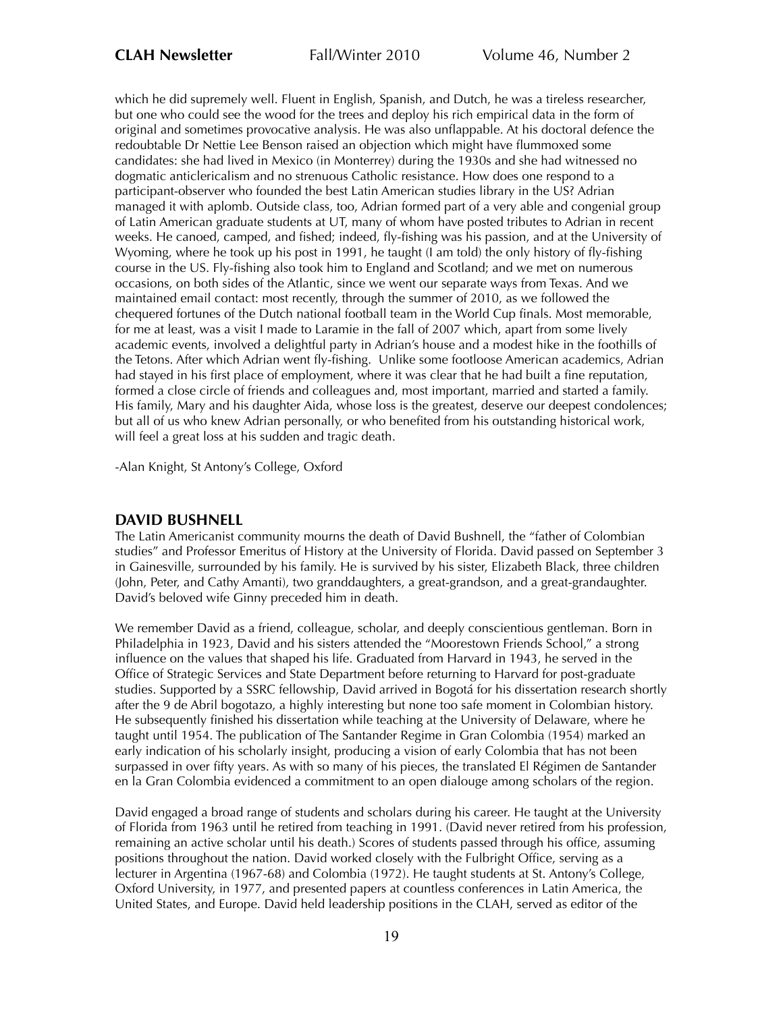which he did supremely well. Fluent in English, Spanish, and Dutch, he was a tireless researcher, but one who could see the wood for the trees and deploy his rich empirical data in the form of original and sometimes provocative analysis. He was also unflappable. At his doctoral defence the redoubtable Dr Nettie Lee Benson raised an objection which might have flummoxed some candidates: she had lived in Mexico (in Monterrey) during the 1930s and she had witnessed no dogmatic anticlericalism and no strenuous Catholic resistance. How does one respond to a participant-observer who founded the best Latin American studies library in the US? Adrian managed it with aplomb. Outside class, too, Adrian formed part of a very able and congenial group of Latin American graduate students at UT, many of whom have posted tributes to Adrian in recent weeks. He canoed, camped, and fished; indeed, fly-fishing was his passion, and at the University of Wyoming, where he took up his post in 1991, he taught (I am told) the only history of fly-fishing course in the US. Fly-fishing also took him to England and Scotland; and we met on numerous occasions, on both sides of the Atlantic, since we went our separate ways from Texas. And we maintained email contact: most recently, through the summer of 2010, as we followed the chequered fortunes of the Dutch national football team in the World Cup finals. Most memorable, for me at least, was a visit I made to Laramie in the fall of 2007 which, apart from some lively academic events, involved a delightful party in Adrian's house and a modest hike in the foothills of the Tetons. After which Adrian went fly-fishing. Unlike some footloose American academics, Adrian had stayed in his first place of employment, where it was clear that he had built a fine reputation, formed a close circle of friends and colleagues and, most important, married and started a family. His family, Mary and his daughter Aida, whose loss is the greatest, deserve our deepest condolences; but all of us who knew Adrian personally, or who benefited from his outstanding historical work, will feel a great loss at his sudden and tragic death.

-Alan Knight, St Antony's College, Oxford

## **DAVID BUSHNELL**

The Latin Americanist community mourns the death of David Bushnell, the "father of Colombian studies" and Professor Emeritus of History at the University of Florida. David passed on September 3 in Gainesville, surrounded by his family. He is survived by his sister, Elizabeth Black, three children (John, Peter, and Cathy Amanti), two granddaughters, a great-grandson, and a great-grandaughter. David's beloved wife Ginny preceded him in death.

We remember David as a friend, colleague, scholar, and deeply conscientious gentleman. Born in Philadelphia in 1923, David and his sisters attended the "Moorestown Friends School," a strong influence on the values that shaped his life. Graduated from Harvard in 1943, he served in the Office of Strategic Services and State Department before returning to Harvard for post-graduate studies. Supported by a SSRC fellowship, David arrived in Bogotá for his dissertation research shortly after the 9 de Abril bogotazo, a highly interesting but none too safe moment in Colombian history. He subsequently finished his dissertation while teaching at the University of Delaware, where he taught until 1954. The publication of The Santander Regime in Gran Colombia (1954) marked an early indication of his scholarly insight, producing a vision of early Colombia that has not been surpassed in over fifty years. As with so many of his pieces, the translated El Régimen de Santander en la Gran Colombia evidenced a commitment to an open dialouge among scholars of the region.

David engaged a broad range of students and scholars during his career. He taught at the University of Florida from 1963 until he retired from teaching in 1991. (David never retired from his profession, remaining an active scholar until his death.) Scores of students passed through his office, assuming positions throughout the nation. David worked closely with the Fulbright Office, serving as a lecturer in Argentina (1967-68) and Colombia (1972). He taught students at St. Antony's College, Oxford University, in 1977, and presented papers at countless conferences in Latin America, the United States, and Europe. David held leadership positions in the CLAH, served as editor of the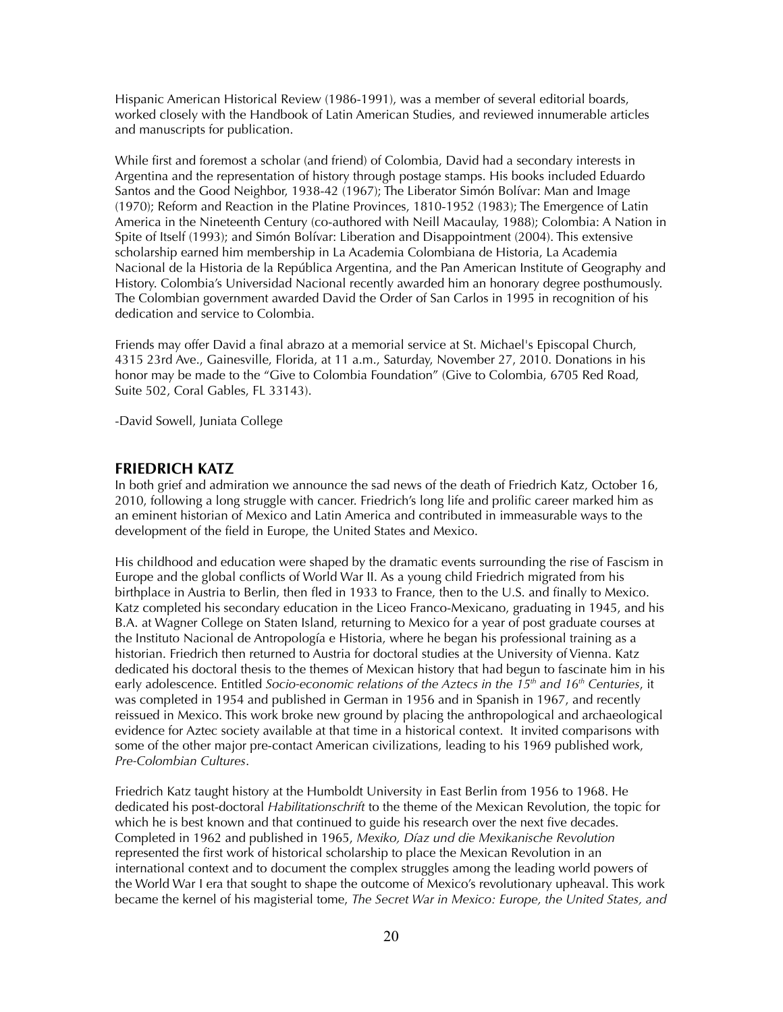Hispanic American Historical Review (1986-1991), was a member of several editorial boards, worked closely with the Handbook of Latin American Studies, and reviewed innumerable articles and manuscripts for publication.

While first and foremost a scholar (and friend) of Colombia, David had a secondary interests in Argentina and the representation of history through postage stamps. His books included Eduardo Santos and the Good Neighbor, 1938-42 (1967); The Liberator Simón Bolívar: Man and Image (1970); Reform and Reaction in the Platine Provinces, 1810-1952 (1983); The Emergence of Latin America in the Nineteenth Century (co-authored with Neill Macaulay, 1988); Colombia: A Nation in Spite of Itself (1993); and Simón Bolívar: Liberation and Disappointment (2004). This extensive scholarship earned him membership in La Academia Colombiana de Historia, La Academia Nacional de la Historia de la República Argentina, and the Pan American Institute of Geography and History. Colombia's Universidad Nacional recently awarded him an honorary degree posthumously. The Colombian government awarded David the Order of San Carlos in 1995 in recognition of his dedication and service to Colombia.

Friends may offer David a final abrazo at a memorial service at St. Michael's Episcopal Church, 4315 23rd Ave., Gainesville, Florida, at 11 a.m., Saturday, November 27, 2010. Donations in his honor may be made to the "Give to Colombia Foundation" (Give to Colombia, 6705 Red Road, Suite 502, Coral Gables, FL 33143).

-David Sowell, Juniata College

## **FRIEDRICH KATZ**

In both grief and admiration we announce the sad news of the death of Friedrich Katz, October 16, 2010, following a long struggle with cancer. Friedrich's long life and prolific career marked him as an eminent historian of Mexico and Latin America and contributed in immeasurable ways to the development of the field in Europe, the United States and Mexico.

His childhood and education were shaped by the dramatic events surrounding the rise of Fascism in Europe and the global conflicts of World War II. As a young child Friedrich migrated from his birthplace in Austria to Berlin, then fled in 1933 to France, then to the U.S. and finally to Mexico. Katz completed his secondary education in the Liceo Franco-Mexicano, graduating in 1945, and his B.A. at Wagner College on Staten Island, returning to Mexico for a year of post graduate courses at the Instituto Nacional de Antropología e Historia, where he began his professional training as a historian. Friedrich then returned to Austria for doctoral studies at the University of Vienna. Katz dedicated his doctoral thesis to the themes of Mexican history that had begun to fascinate him in his early adolescence. Entitled *Socio-economic relations of the Aztecs in the 15<sup>th</sup> and 16<sup>th</sup> Centuries, it* was completed in 1954 and published in German in 1956 and in Spanish in 1967, and recently reissued in Mexico. This work broke new ground by placing the anthropological and archaeological evidence for Aztec society available at that time in a historical context. It invited comparisons with some of the other major pre-contact American civilizations, leading to his 1969 published work, *Pre-Colombian Cultures*.

Friedrich Katz taught history at the Humboldt University in East Berlin from 1956 to 1968. He dedicated his post-doctoral *Habilitationschrift* to the theme of the Mexican Revolution, the topic for which he is best known and that continued to guide his research over the next five decades. Completed in 1962 and published in 1965, *Mexiko, Díaz und die Mexikanische Revolution* represented the first work of historical scholarship to place the Mexican Revolution in an international context and to document the complex struggles among the leading world powers of the World War I era that sought to shape the outcome of Mexico's revolutionary upheaval. This work became the kernel of his magisterial tome, *The Secret War in Mexico: Europe, the United States, and*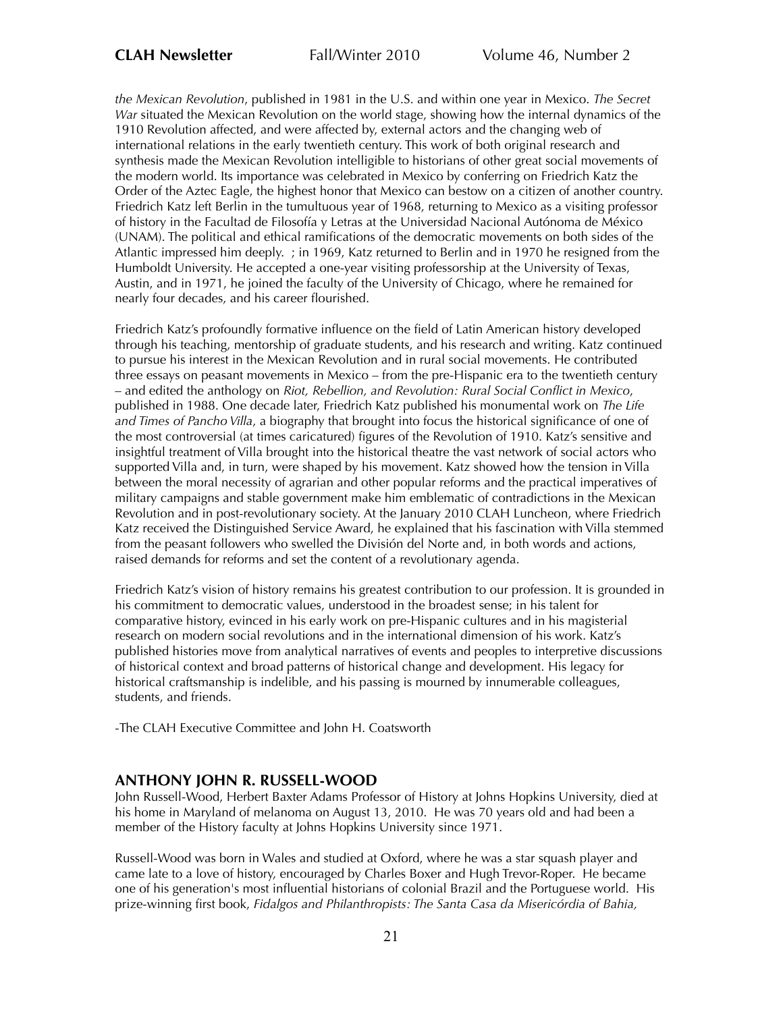*the Mexican Revolution*, published in 1981 in the U.S. and within one year in Mexico. *The Secret War* situated the Mexican Revolution on the world stage, showing how the internal dynamics of the 1910 Revolution affected, and were affected by, external actors and the changing web of international relations in the early twentieth century. This work of both original research and synthesis made the Mexican Revolution intelligible to historians of other great social movements of the modern world. Its importance was celebrated in Mexico by conferring on Friedrich Katz the Order of the Aztec Eagle, the highest honor that Mexico can bestow on a citizen of another country. Friedrich Katz left Berlin in the tumultuous year of 1968, returning to Mexico as a visiting professor of history in the Facultad de Filosofía y Letras at the Universidad Nacional Autónoma de México (UNAM). The political and ethical ramifications of the democratic movements on both sides of the Atlantic impressed him deeply. ; in 1969, Katz returned to Berlin and in 1970 he resigned from the Humboldt University. He accepted a one-year visiting professorship at the University of Texas, Austin, and in 1971, he joined the faculty of the University of Chicago, where he remained for nearly four decades, and his career flourished.

Friedrich Katz's profoundly formative influence on the field of Latin American history developed through his teaching, mentorship of graduate students, and his research and writing. Katz continued to pursue his interest in the Mexican Revolution and in rural social movements. He contributed three essays on peasant movements in Mexico – from the pre-Hispanic era to the twentieth century – and edited the anthology on *Riot, Rebellion, and Revolution: Rural Social Conflict in Mexico*, published in 1988. One decade later, Friedrich Katz published his monumental work on *The Life and Times of Pancho Villa*, a biography that brought into focus the historical significance of one of the most controversial (at times caricatured) figures of the Revolution of 1910. Katz's sensitive and insightful treatment of Villa brought into the historical theatre the vast network of social actors who supported Villa and, in turn, were shaped by his movement. Katz showed how the tension in Villa between the moral necessity of agrarian and other popular reforms and the practical imperatives of military campaigns and stable government make him emblematic of contradictions in the Mexican Revolution and in post-revolutionary society. At the January 2010 CLAH Luncheon, where Friedrich Katz received the Distinguished Service Award, he explained that his fascination with Villa stemmed from the peasant followers who swelled the División del Norte and, in both words and actions, raised demands for reforms and set the content of a revolutionary agenda.

Friedrich Katz's vision of history remains his greatest contribution to our profession. It is grounded in his commitment to democratic values, understood in the broadest sense; in his talent for comparative history, evinced in his early work on pre-Hispanic cultures and in his magisterial research on modern social revolutions and in the international dimension of his work. Katz's published histories move from analytical narratives of events and peoples to interpretive discussions of historical context and broad patterns of historical change and development. His legacy for historical craftsmanship is indelible, and his passing is mourned by innumerable colleagues, students, and friends.

-The CLAH Executive Committee and John H. Coatsworth

## **ANTHONY JOHN R. RUSSELL-WOOD**

John Russell-Wood, Herbert Baxter Adams Professor of History at Johns Hopkins University, died at his home in Maryland of melanoma on August 13, 2010. He was 70 years old and had been a member of the History faculty at Johns Hopkins University since 1971.

Russell-Wood was born in Wales and studied at Oxford, where he was a star squash player and came late to a love of history, encouraged by Charles Boxer and Hugh Trevor-Roper. He became one of his generation's most influential historians of colonial Brazil and the Portuguese world. His prize-winning first book, *Fidalgos and Philanthropists: The Santa Casa da Misericórdia of Bahia,*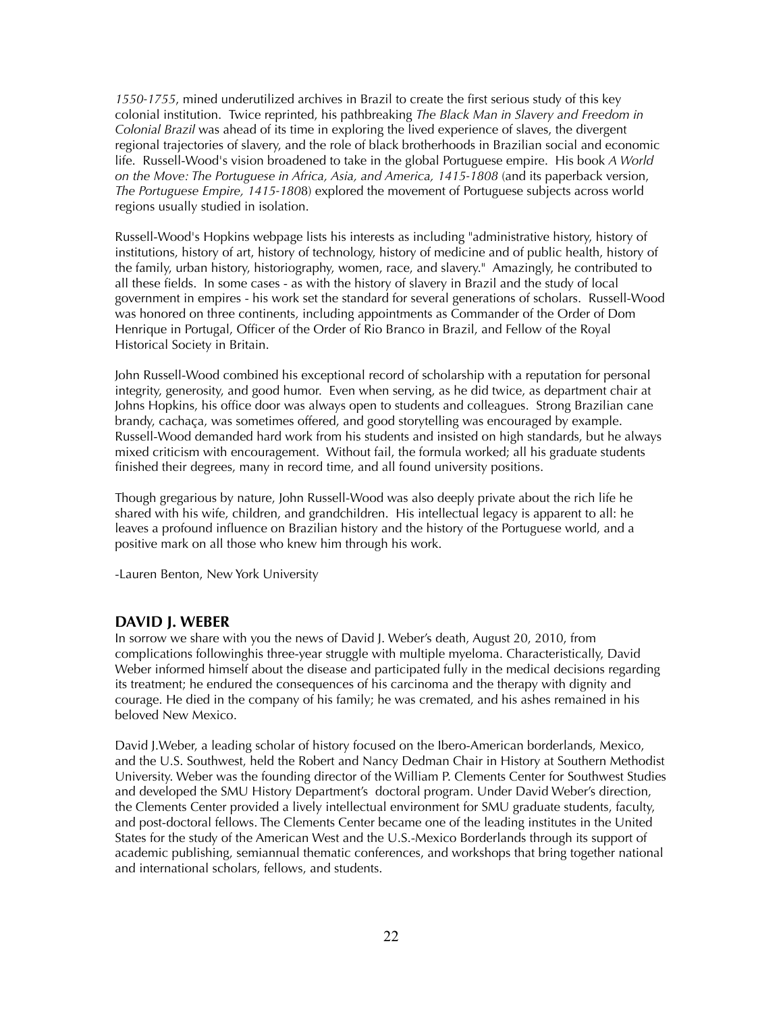*1550-1755*, mined underutilized archives in Brazil to create the first serious study of this key colonial institution. Twice reprinted, his pathbreaking *The Black Man in Slavery and Freedom in Colonial Brazil* was ahead of its time in exploring the lived experience of slaves, the divergent regional trajectories of slavery, and the role of black brotherhoods in Brazilian social and economic life. Russell-Wood's vision broadened to take in the global Portuguese empire. His book *A World on the Move: The Portuguese in Africa, Asia, and America, 1415-1808* (and its paperback version, *The Portuguese Empire, 1415-180*8) explored the movement of Portuguese subjects across world regions usually studied in isolation.

Russell-Wood's Hopkins webpage lists his interests as including "administrative history, history of institutions, history of art, history of technology, history of medicine and of public health, history of the family, urban history, historiography, women, race, and slavery." Amazingly, he contributed to all these fields. In some cases - as with the history of slavery in Brazil and the study of local government in empires - his work set the standard for several generations of scholars. Russell-Wood was honored on three continents, including appointments as Commander of the Order of Dom Henrique in Portugal, Officer of the Order of Rio Branco in Brazil, and Fellow of the Royal Historical Society in Britain.

John Russell-Wood combined his exceptional record of scholarship with a reputation for personal integrity, generosity, and good humor. Even when serving, as he did twice, as department chair at Johns Hopkins, his office door was always open to students and colleagues. Strong Brazilian cane brandy, cachaça, was sometimes offered, and good storytelling was encouraged by example. Russell-Wood demanded hard work from his students and insisted on high standards, but he always mixed criticism with encouragement. Without fail, the formula worked; all his graduate students finished their degrees, many in record time, and all found university positions.

Though gregarious by nature, John Russell-Wood was also deeply private about the rich life he shared with his wife, children, and grandchildren. His intellectual legacy is apparent to all: he leaves a profound influence on Brazilian history and the history of the Portuguese world, and a positive mark on all those who knew him through his work.

-Lauren Benton, New York University

## **DAVID J. WEBER**

In sorrow we share with you the news of David J. Weber's death, August 20, 2010, from complications followinghis three-year struggle with multiple myeloma. Characteristically, David Weber informed himself about the disease and participated fully in the medical decisions regarding its treatment; he endured the consequences of his carcinoma and the therapy with dignity and courage. He died in the company of his family; he was cremated, and his ashes remained in his beloved New Mexico.

David J.Weber, a leading scholar of history focused on the Ibero-American borderlands, Mexico, and the U.S. Southwest, held the Robert and Nancy Dedman Chair in History at Southern Methodist University. Weber was the founding director of the William P. Clements Center for Southwest Studies and developed the SMU History Department's doctoral program. Under David Weber's direction, the Clements Center provided a lively intellectual environment for SMU graduate students, faculty, and post-doctoral fellows. The Clements Center became one of the leading institutes in the United States for the study of the American West and the U.S.-Mexico Borderlands through its support of academic publishing, semiannual thematic conferences, and workshops that bring together national and international scholars, fellows, and students.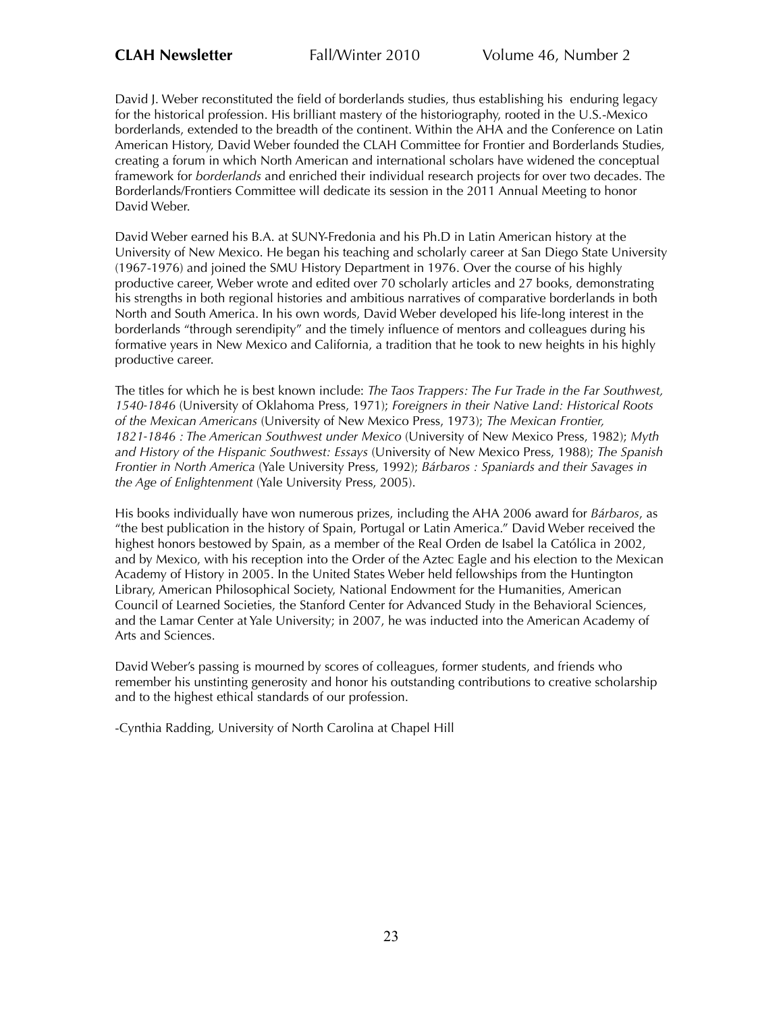David J. Weber reconstituted the field of borderlands studies, thus establishing his enduring legacy for the historical profession. His brilliant mastery of the historiography, rooted in the U.S.-Mexico borderlands, extended to the breadth of the continent. Within the AHA and the Conference on Latin American History, David Weber founded the CLAH Committee for Frontier and Borderlands Studies, creating a forum in which North American and international scholars have widened the conceptual framework for *borderlands* and enriched their individual research projects for over two decades. The Borderlands/Frontiers Committee will dedicate its session in the 2011 Annual Meeting to honor David Weber.

David Weber earned his B.A. at SUNY-Fredonia and his Ph.D in Latin American history at the University of New Mexico. He began his teaching and scholarly career at San Diego State University (1967-1976) and joined the SMU History Department in 1976. Over the course of his highly productive career, Weber wrote and edited over 70 scholarly articles and 27 books, demonstrating his strengths in both regional histories and ambitious narratives of comparative borderlands in both North and South America. In his own words, David Weber developed his life-long interest in the borderlands "through serendipity" and the timely influence of mentors and colleagues during his formative years in New Mexico and California, a tradition that he took to new heights in his highly productive career.

The titles for which he is best known include: *The Taos Trappers: The Fur Trade in the Far Southwest, 1540-1846* (University of Oklahoma Press, 1971); *Foreigners in their Native Land: Historical Roots of the Mexican Americans* (University of New Mexico Press, 1973); *The Mexican Frontier, 1821-1846 : The American Southwest under Mexico* (University of New Mexico Press, 1982); *Myth and History of the Hispanic Southwest: Essays* (University of New Mexico Press, 1988); *The Spanish Frontier in North America* (Yale University Press, 1992); *Bárbaros : Spaniards and their Savages in the Age of Enlightenment* (Yale University Press, 2005).

His books individually have won numerous prizes, including the AHA 2006 award for *Bárbaros*, as "the best publication in the history of Spain, Portugal or Latin America." David Weber received the highest honors bestowed by Spain, as a member of the Real Orden de Isabel la Católica in 2002, and by Mexico, with his reception into the Order of the Aztec Eagle and his election to the Mexican Academy of History in 2005. In the United States Weber held fellowships from the Huntington Library, American Philosophical Society, National Endowment for the Humanities, American Council of Learned Societies, the Stanford Center for Advanced Study in the Behavioral Sciences, and the Lamar Center at Yale University; in 2007, he was inducted into the American Academy of Arts and Sciences.

David Weber's passing is mourned by scores of colleagues, former students, and friends who remember his unstinting generosity and honor his outstanding contributions to creative scholarship and to the highest ethical standards of our profession.

-Cynthia Radding, University of North Carolina at Chapel Hill